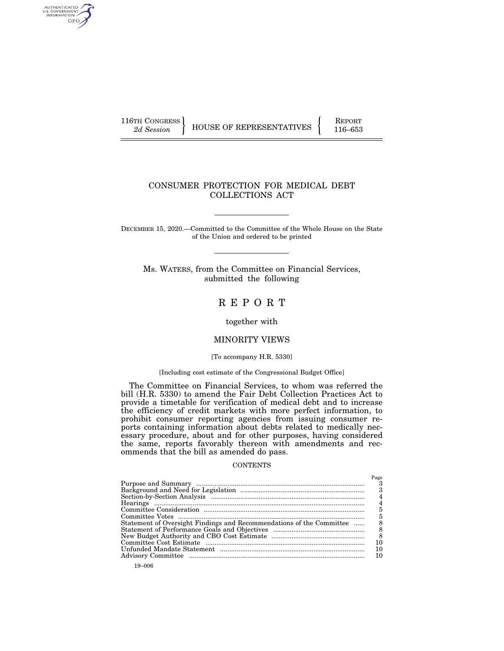AUTHENTICATED<br>U.S. GOVERNMENT<br>INFORMATION GPO

116TH CONGRESS HOUSE OF REPRESENTATIVES FEPORT 116–653

# CONSUMER PROTECTION FOR MEDICAL DEBT COLLECTIONS ACT

DECEMBER 15, 2020.—Committed to the Committee of the Whole House on the State of the Union and ordered to be printed

Ms. WATERS, from the Committee on Financial Services, submitted the following

R E P O R T

together with

## MINORITY VIEWS

### [To accompany H.R. 5330]

#### [Including cost estimate of the Congressional Budget Office]

The Committee on Financial Services, to whom was referred the bill (H.R. 5330) to amend the Fair Debt Collection Practices Act to provide a timetable for verification of medical debt and to increase the efficiency of credit markets with more perfect information, to prohibit consumer reporting agencies from issuing consumer reports containing information about debts related to medically necessary procedure, about and for other purposes, having considered the same, reports favorably thereon with amendments and recommends that the bill as amended do pass.

## **CONTENTS**

|                                                                      | Page |
|----------------------------------------------------------------------|------|
|                                                                      |      |
|                                                                      |      |
|                                                                      |      |
|                                                                      |      |
|                                                                      |      |
|                                                                      |      |
| Statement of Oversight Findings and Recommendations of the Committee |      |
|                                                                      | 8    |
|                                                                      | 8    |
|                                                                      | 10   |
|                                                                      | 10   |
|                                                                      | 10   |
|                                                                      |      |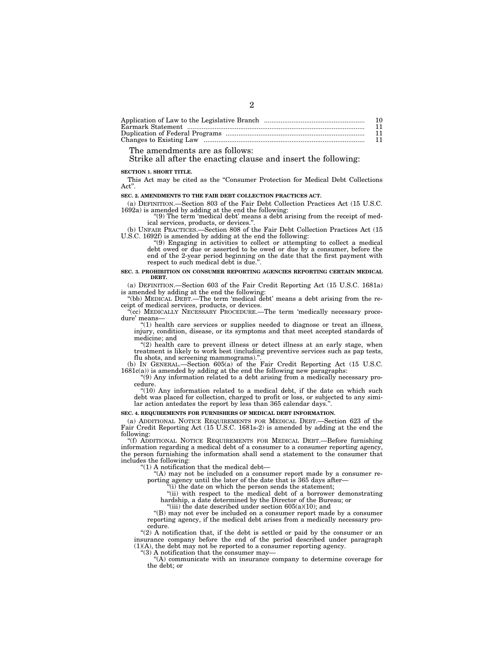| 10  |
|-----|
| -11 |
| 11. |
| 11. |
|     |

# The amendments are as follows:

Strike all after the enacting clause and insert the following:

#### **SECTION 1. SHORT TITLE.**

This Act may be cited as the ''Consumer Protection for Medical Debt Collections Act''.

#### **SEC. 2. AMENDMENTS TO THE FAIR DEBT COLLECTION PRACTICES ACT.**

(a) DEFINITION.—Section 803 of the Fair Debt Collection Practices Act (15 U.S.C. 1692a) is amended by adding at the end the following:

"(9) The term 'medical debt' means a debt arising from the receipt of medical services, products, or devices.

(b) UNFAIR PRACTICES.—Section 808 of the Fair Debt Collection Practices Act (15 U.S.C. 1692f) is amended by adding at the end the following:

 $(9)$  Engaging in activities to collect or attempting to collect a medical debt owed or due or asserted to be owed or due by a consumer, before the end of the 2-year period beginning on the date that the first payment with respect to such medical debt is due.''.

#### **SEC. 3. PROHIBITION ON CONSUMER REPORTING AGENCIES REPORTING CERTAIN MEDICAL DEBT.**

(a) DEFINITION.—Section 603 of the Fair Credit Reporting Act (15 U.S.C. 1681a) is amended by adding at the end the following:

"(bb) MEDICAL DEBT.—The term 'medical debt' means a debt arising from the receipt of medical services, products, or devices.

(cc) MEDICALLY NECESSARY PROCEDURE.—The term 'medically necessary procedure' means—

"(1) health care services or supplies needed to diagnose or treat an illness, injury, condition, disease, or its symptoms and that meet accepted standards of medicine; and

"(2) health care to prevent illness or detect illness at an early stage, when treatment is likely to work best (including preventive services such as pap tests, flu shots, and screening mammograms)."

(b) IN GENERAL.—Section 605(a) of the Fair Credit Reporting Act (15 U.S.C.  $1681c(a)$ ) is amended by adding at the end the following new paragraphs:

 $\cdot$ (9) Any information related to a debt arising from a medically necessary procedure.

 $''(10)$  Any information related to a medical debt, if the date on which such debt was placed for collection, charged to profit or loss, or subjected to any similar action antedates the report by less than 365 calendar days.''.

#### **SEC. 4. REQUIREMENTS FOR FURNISHERS OF MEDICAL DEBT INFORMATION.**

(a) ADDITIONAL NOTICE REQUIREMENTS FOR MEDICAL DEBT.—Section 623 of the Fair Credit Reporting Act (15 U.S.C. 1681s-2) is amended by adding at the end the following:

''(f) ADDITIONAL NOTICE REQUIREMENTS FOR MEDICAL DEBT.—Before furnishing information regarding a medical debt of a consumer to a consumer reporting agency, the person furnishing the information shall send a statement to the consumer that includes the following:

''(1) A notification that the medical debt—

''(A) may not be included on a consumer report made by a consumer reporting agency until the later of the date that is 365 days after—

''(i) the date on which the person sends the statement;

''(ii) with respect to the medical debt of a borrower demonstrating hardship, a date determined by the Director of the Bureau; or

 $(iii)$  the date described under section  $605(a)(10)$ ; and

''(B) may not ever be included on a consumer report made by a consumer reporting agency, if the medical debt arises from a medically necessary procedure.

"(2) A notification that, if the debt is settled or paid by the consumer or an insurance company before the end of the period described under paragraph  $(1)(A)$ , the debt may not be reported to a consumer reporting agency. ''(3) A notification that the consumer may—

''(A) communicate with an insurance company to determine coverage for the debt; or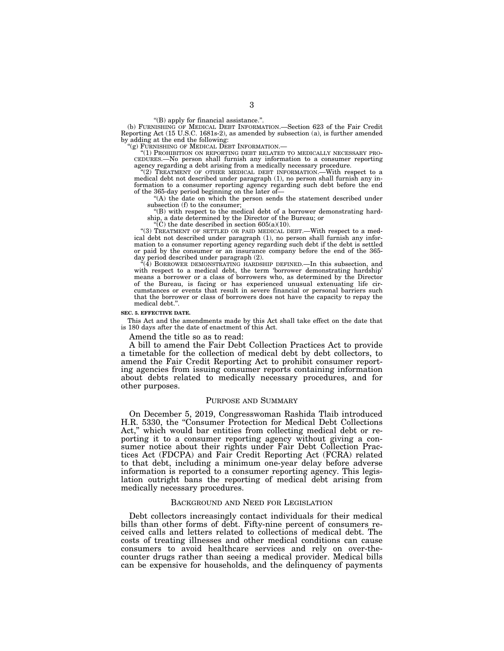''(B) apply for financial assistance.''.

(b) FURNISHING OF MEDICAL DEBT INFORMATION.—Section 623 of the Fair Credit Reporting Act (15 U.S.C. 1681s-2), as amended by subsection (a), is further amended by adding at the end the following:<br>"(g) FURNISHING OF MEDICAL DEBT INFORMATION.-

 $(4)$  PROHIBITION ON REPORTING DEBT RELATED TO MEDICALLY NECESSARY PRO- CEDURES.—No person shall furnish any information to a consumer reporting agency regarding a debt arising from a medically necessary procedure.

''(2) TREATMENT OF OTHER MEDICAL DEBT INFORMATION.—With respect to a medical debt not described under paragraph (1), no person shall furnish any information to a consumer reporting agency regarding such debt before the end of the 365-day period beginning on the later of—

''(A) the date on which the person sends the statement described under subsection (f) to the consumer;

''(B) with respect to the medical debt of a borrower demonstrating hardship, a date determined by the Director of the Bureau; or

 $C$ ) the date described in section 605(a)(10).

''(3) TREATMENT OF SETTLED OR PAID MEDICAL DEBT.—With respect to a medical debt not described under paragraph (1), no person shall furnish any information to a consumer reporting agency regarding such debt if the debt is settled or paid by the consumer or an insurance company before the end of the 365 day period described under paragraph (2).

 $^{4}(4)$  BORROWER DEMONSTRATING HARDSHIP DEFINED.—In this subsection, and with respect to a medical debt, the term 'borrower demonstrating hardship' means a borrower or a class of borrowers who, as determined by the Director of the Bureau, is facing or has experienced unusual extenuating life circumstances or events that result in severe financial or personal barriers such that the borrower or class of borrowers does not have the capacity to repay the medical debt.''.

**SEC. 5. EFFECTIVE DATE.** 

This Act and the amendments made by this Act shall take effect on the date that is 180 days after the date of enactment of this Act.

Amend the title so as to read:

A bill to amend the Fair Debt Collection Practices Act to provide a timetable for the collection of medical debt by debt collectors, to amend the Fair Credit Reporting Act to prohibit consumer reporting agencies from issuing consumer reports containing information about debts related to medically necessary procedures, and for other purposes.

### PURPOSE AND SUMMARY

On December 5, 2019, Congresswoman Rashida Tlaib introduced H.R. 5330, the "Consumer Protection for Medical Debt Collections Act," which would bar entities from collecting medical debt or reporting it to a consumer reporting agency without giving a consumer notice about their rights under Fair Debt Collection Practices Act (FDCPA) and Fair Credit Reporting Act (FCRA) related to that debt, including a minimum one-year delay before adverse information is reported to a consumer reporting agency. This legislation outright bans the reporting of medical debt arising from medically necessary procedures.

#### BACKGROUND AND NEED FOR LEGISLATION

Debt collectors increasingly contact individuals for their medical bills than other forms of debt. Fifty-nine percent of consumers received calls and letters related to collections of medical debt. The costs of treating illnesses and other medical conditions can cause consumers to avoid healthcare services and rely on over-thecounter drugs rather than seeing a medical provider. Medical bills can be expensive for households, and the delinquency of payments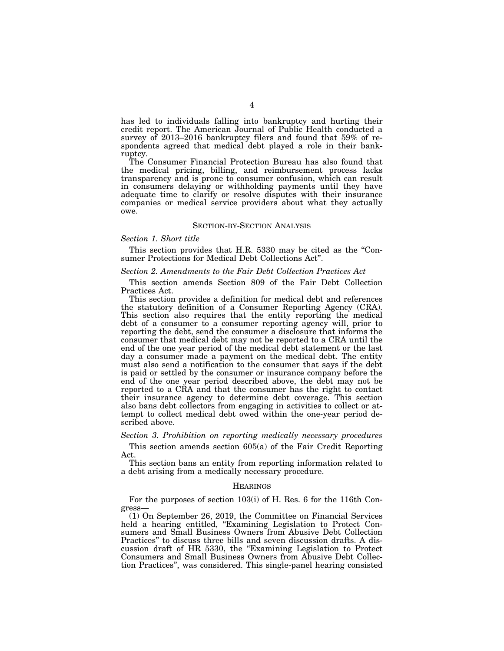has led to individuals falling into bankruptcy and hurting their credit report. The American Journal of Public Health conducted a survey of 2013–2016 bankruptcy filers and found that 59% of respondents agreed that medical debt played a role in their bankruptcy.

The Consumer Financial Protection Bureau has also found that the medical pricing, billing, and reimbursement process lacks transparency and is prone to consumer confusion, which can result in consumers delaying or withholding payments until they have adequate time to clarify or resolve disputes with their insurance companies or medical service providers about what they actually owe.

### SECTION-BY-SECTION ANALYSIS

### *Section 1. Short title*

This section provides that H.R. 5330 may be cited as the "Consumer Protections for Medical Debt Collections Act''.

## *Section 2. Amendments to the Fair Debt Collection Practices Act*

This section amends Section 809 of the Fair Debt Collection Practices Act.

This section provides a definition for medical debt and references the statutory definition of a Consumer Reporting Agency (CRA). This section also requires that the entity reporting the medical debt of a consumer to a consumer reporting agency will, prior to reporting the debt, send the consumer a disclosure that informs the consumer that medical debt may not be reported to a CRA until the end of the one year period of the medical debt statement or the last day a consumer made a payment on the medical debt. The entity must also send a notification to the consumer that says if the debt is paid or settled by the consumer or insurance company before the end of the one year period described above, the debt may not be reported to a CRA and that the consumer has the right to contact their insurance agency to determine debt coverage. This section also bans debt collectors from engaging in activities to collect or attempt to collect medical debt owed within the one-year period described above.

#### *Section 3. Prohibition on reporting medically necessary procedures*

This section amends section 605(a) of the Fair Credit Reporting Act.

This section bans an entity from reporting information related to a debt arising from a medically necessary procedure.

#### **HEARINGS**

For the purposes of section 103(i) of H. Res. 6 for the 116th Congress—

(1) On September 26, 2019, the Committee on Financial Services held a hearing entitled, ''Examining Legislation to Protect Consumers and Small Business Owners from Abusive Debt Collection Practices'' to discuss three bills and seven discussion drafts. A discussion draft of HR 5330, the ''Examining Legislation to Protect Consumers and Small Business Owners from Abusive Debt Collection Practices'', was considered. This single-panel hearing consisted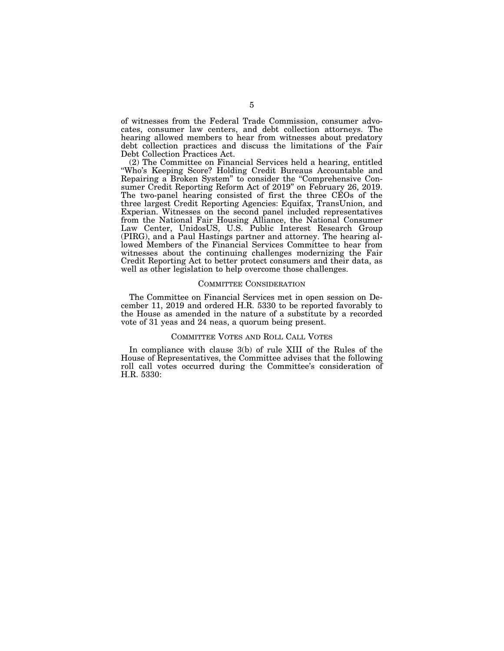of witnesses from the Federal Trade Commission, consumer advocates, consumer law centers, and debt collection attorneys. The hearing allowed members to hear from witnesses about predatory debt collection practices and discuss the limitations of the Fair Debt Collection Practices Act.

(2) The Committee on Financial Services held a hearing, entitled ''Who's Keeping Score? Holding Credit Bureaus Accountable and Repairing a Broken System'' to consider the ''Comprehensive Consumer Credit Reporting Reform Act of 2019'' on February 26, 2019. The two-panel hearing consisted of first the three CEOs of the three largest Credit Reporting Agencies: Equifax, TransUnion, and Experian. Witnesses on the second panel included representatives from the National Fair Housing Alliance, the National Consumer Law Center, UnidosUS, U.S. Public Interest Research Group (PIRG), and a Paul Hastings partner and attorney. The hearing allowed Members of the Financial Services Committee to hear from witnesses about the continuing challenges modernizing the Fair Credit Reporting Act to better protect consumers and their data, as well as other legislation to help overcome those challenges.

### COMMITTEE CONSIDERATION

The Committee on Financial Services met in open session on December 11, 2019 and ordered H.R. 5330 to be reported favorably to the House as amended in the nature of a substitute by a recorded vote of 31 yeas and 24 neas, a quorum being present.

#### COMMITTEE VOTES AND ROLL CALL VOTES

In compliance with clause 3(b) of rule XIII of the Rules of the House of Representatives, the Committee advises that the following roll call votes occurred during the Committee's consideration of H.R. 5330: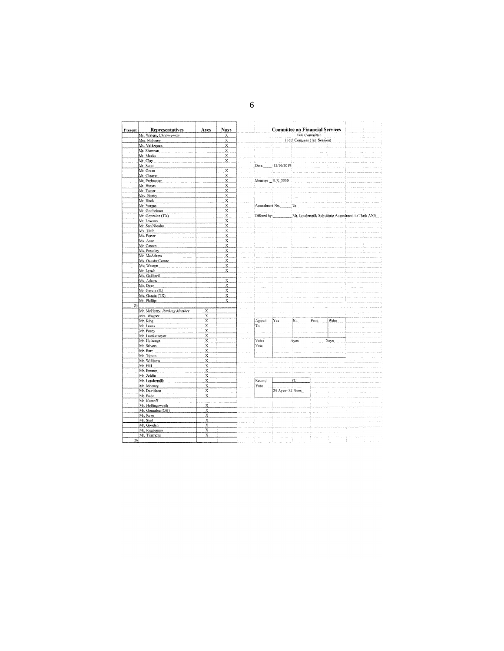| Present | Representatives              | Ayes                         | Nays               |                   |                 |               | <b>Committee on Financial Services</b>           |  |
|---------|------------------------------|------------------------------|--------------------|-------------------|-----------------|---------------|--------------------------------------------------|--|
|         | Ms. Waters, Chairwoman       |                              | х                  |                   |                 |               | Full Committee                                   |  |
|         | Mrs. Maloney                 |                              | x                  |                   |                 |               | 116th Congress (1st Session)                     |  |
|         | Ms. Velázquez                |                              | X                  |                   |                 |               | .                                                |  |
|         | Mr. Sherman                  |                              | X                  |                   |                 |               |                                                  |  |
|         | Mr. Meeks                    |                              | X                  |                   |                 |               |                                                  |  |
|         | Mr. Clay                     |                              | X                  |                   |                 |               |                                                  |  |
|         | Mr. Scott                    |                              |                    | Date:             | 12/10/2019      |               |                                                  |  |
|         | Mr. Green                    |                              | X                  |                   |                 |               |                                                  |  |
|         | Mr. Cleaver                  |                              | X                  |                   |                 |               |                                                  |  |
|         | Mr. Perlmutter               |                              | X                  | Measure H.R. 5330 |                 |               |                                                  |  |
|         | Mr. Himes                    |                              | X                  |                   |                 |               |                                                  |  |
|         | Mr. Foster                   |                              | X                  |                   |                 |               |                                                  |  |
|         | Mrs. Beatty                  |                              | X                  |                   |                 |               |                                                  |  |
|         |                              |                              |                    |                   |                 | .             |                                                  |  |
|         | Mr. Heck                     |                              | X                  |                   |                 |               |                                                  |  |
|         | Mr. Vargas                   |                              | X                  |                   | Amendment No.   | $7\mathrm{a}$ |                                                  |  |
|         | Mr. Gottheimer               |                              | X                  |                   |                 |               |                                                  |  |
|         | Mr. Gonzalez (TX)            |                              | X                  | Offered by:       |                 |               | Mr. Loudennilk Substitute Amendment to Tlaib ANS |  |
|         | Mr. Lawson                   |                              | $\bar{\mathbf{x}}$ |                   |                 |               |                                                  |  |
|         | Mr. San Nicolas              |                              | $\bar{\mathbf{x}}$ |                   |                 |               |                                                  |  |
|         | Ms. Tlaib                    |                              | X                  |                   |                 |               |                                                  |  |
|         | Ms. Porter                   |                              | Х                  |                   |                 |               |                                                  |  |
|         | Ms. Axne                     |                              | $\bar{\mathbf{x}}$ |                   |                 |               |                                                  |  |
|         | Mr. Casten                   |                              | X                  |                   |                 |               |                                                  |  |
|         | Ms. Pressley                 |                              | X                  |                   |                 |               |                                                  |  |
|         | Mr. McAdams                  |                              | X                  |                   |                 |               |                                                  |  |
|         |                              |                              | X                  |                   |                 |               |                                                  |  |
|         | Ms. Ocasio-Cortez            |                              |                    |                   |                 |               |                                                  |  |
|         | Ms. Wexton                   |                              | X                  |                   |                 |               |                                                  |  |
|         | Mr. Lynch                    |                              | x                  |                   |                 |               |                                                  |  |
|         | Ms. Gabbard                  |                              |                    |                   |                 |               |                                                  |  |
|         | Ms. Adams                    |                              | X                  |                   |                 |               |                                                  |  |
|         | Ms. Dean                     |                              | X                  |                   |                 |               |                                                  |  |
|         | Mr. Garcia (IL)              |                              | X                  |                   |                 |               |                                                  |  |
|         | Ms. Garcia (TX)              |                              | $\bar{x}$          |                   |                 |               |                                                  |  |
|         | Mr. Phillips                 |                              | X                  |                   |                 |               |                                                  |  |
| 34      |                              |                              |                    |                   |                 |               |                                                  |  |
|         | Mr. McHenry, Ranking Member  | X                            |                    |                   |                 |               |                                                  |  |
|         | Mrs. Wagner                  | X                            |                    |                   |                 |               |                                                  |  |
|         | Mr. King                     | X                            |                    | Agreed            | Yes             | No            | Wdm<br>Prsnt                                     |  |
|         | Mr. Lucas                    | $\bar{\mathbf{x}}$           |                    | Ţо                |                 |               |                                                  |  |
|         |                              |                              |                    |                   |                 |               |                                                  |  |
|         | Mr. Posey                    | X                            |                    |                   |                 |               |                                                  |  |
|         | Mr. Luetkemeyer              | X                            |                    |                   |                 |               |                                                  |  |
|         | Mr. Huizenga                 | X                            |                    | Voice             |                 | Ayes          | Nays                                             |  |
|         | Mr. Stivers                  | X                            |                    | Vote              |                 |               |                                                  |  |
|         | Mr. Barr                     | Х                            |                    |                   |                 |               |                                                  |  |
|         | Mr. Tipton                   | X                            |                    |                   |                 |               |                                                  |  |
|         | Mr. Williams                 | X                            |                    |                   |                 |               |                                                  |  |
|         | Mr. Hill                     | X                            |                    |                   |                 |               |                                                  |  |
|         | Mr. Emmer                    | X                            |                    |                   |                 |               |                                                  |  |
|         | Mr. Zeldin                   | X                            |                    |                   |                 |               |                                                  |  |
|         | Mr. Loudermilk               | X                            |                    | Record            |                 | FC            |                                                  |  |
|         | Mr. Mooney                   | Х                            |                    | Vote              |                 |               |                                                  |  |
|         |                              | X                            |                    |                   | 24 Ayes-32 Noes |               |                                                  |  |
|         | Mr. Davidson                 |                              |                    |                   |                 |               |                                                  |  |
|         | Mr. Budd                     | X                            |                    |                   |                 |               |                                                  |  |
|         | Mr. Kustoff                  |                              |                    |                   |                 |               |                                                  |  |
|         | Mr. Hollingsworth            | X                            |                    |                   |                 |               |                                                  |  |
|         | Mr. Gonzalez (OH)            | X                            |                    |                   |                 |               |                                                  |  |
|         | Mr. Rose                     | $\overline{\mathbf{x}}$      |                    |                   |                 |               |                                                  |  |
|         | Mr. Steil                    | $\overline{\mathbf{x}}$      |                    |                   |                 |               |                                                  |  |
|         |                              |                              |                    |                   |                 |               |                                                  |  |
|         |                              |                              |                    |                   |                 |               |                                                  |  |
|         | Mr. Gooden                   | X                            |                    |                   |                 |               |                                                  |  |
|         | Mr. Riggleman<br>Mr. Timmons | X<br>$\overline{\mathbf{x}}$ |                    |                   |                 |               |                                                  |  |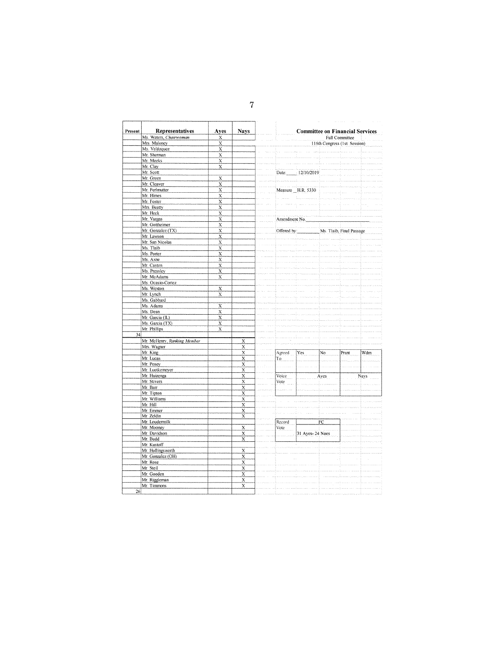| Present         | Representatives             | <b>Nays</b><br><b>Committee on Financial Services</b><br>Ayes |                |               |                   |      |                              |      |
|-----------------|-----------------------------|---------------------------------------------------------------|----------------|---------------|-------------------|------|------------------------------|------|
|                 | Ms. Waters, Chairwoman      | х                                                             |                |               |                   |      | Full Committee               |      |
|                 | Mrs. Malonev                | X                                                             |                |               |                   |      | 116th Congress (1st Session) |      |
|                 | Ms. Velázquez               | X                                                             |                |               |                   |      |                              |      |
|                 | Mr. Sherman                 | X                                                             |                |               |                   |      |                              |      |
|                 | Mr. Meeks                   | X                                                             |                |               |                   |      |                              |      |
|                 | Mr. Clay                    | X                                                             |                |               |                   |      |                              |      |
|                 | Mr. Scott                   |                                                               |                |               | Date: 12/10/2019  |      |                              |      |
|                 | Mr. Green                   | Х                                                             |                |               |                   |      |                              |      |
|                 | Mr. Cleaver                 | X                                                             |                |               |                   |      |                              |      |
|                 | Mr. Perlmutter              | X                                                             |                |               | Measure H.R. 5330 |      |                              |      |
|                 | Mr. Himes                   | X                                                             |                |               |                   |      |                              |      |
|                 | Mr. Foster                  | X                                                             |                |               | Ł.                |      |                              |      |
|                 | Mrs. Beatty                 | X                                                             |                |               |                   |      |                              |      |
|                 | Mr. Heck                    | X                                                             |                |               |                   |      |                              |      |
|                 | Mr. Vargas                  | х                                                             |                |               |                   |      |                              |      |
|                 | Mr. Gottheimer              | X                                                             |                | Amendment No. |                   |      |                              |      |
|                 | Mr. Gonzalez (TX)           | X                                                             |                |               |                   |      |                              |      |
|                 | Mr. Lawson                  | X                                                             |                |               | Offered by:       |      | Ms. Tlaib, Final Passage     |      |
|                 | Mr. San Nicolas             | X                                                             |                |               |                   |      |                              |      |
|                 |                             |                                                               |                |               |                   |      |                              |      |
|                 | Ms. Tlaib                   | X                                                             |                |               |                   |      |                              |      |
|                 | Ms. Porter                  | X                                                             |                |               |                   |      |                              |      |
|                 | Ms. Axne                    | X                                                             |                |               |                   |      |                              |      |
|                 | Mr. Casten                  | $\bar{x}$                                                     |                |               |                   |      |                              |      |
|                 | Ms. Pressley                | X                                                             |                |               |                   |      |                              |      |
|                 | Mr. McAdams                 | X                                                             |                |               |                   |      |                              |      |
|                 | Ms. Ocasio-Cortez           |                                                               |                |               |                   |      |                              |      |
|                 | Ms. Wexton                  | X                                                             |                |               |                   |      |                              |      |
|                 | Mr. Lynch                   | X                                                             |                |               |                   |      |                              |      |
|                 | Ms. Gabbard                 |                                                               |                |               |                   |      |                              |      |
|                 | Ms. Adams                   | X                                                             |                |               |                   |      |                              |      |
|                 | Ms. Dean                    | X                                                             |                |               |                   |      |                              |      |
|                 | Mr. Garcia (IL)             | X                                                             |                |               |                   |      |                              |      |
|                 | Ms. Garcia (TX)             | X                                                             |                |               |                   |      |                              |      |
|                 | Mr. Phillips                | X                                                             |                |               |                   |      |                              |      |
| $\overline{34}$ |                             |                                                               |                |               |                   |      |                              |      |
|                 | Mr. McHenry, Ranking Member |                                                               | X              |               |                   |      |                              |      |
|                 | Mrs. Wagner                 |                                                               | X              |               |                   |      |                              |      |
|                 | Mr. King                    |                                                               | X              | Agreed        | Yes               | No   | Prsnt                        | Wdrn |
|                 | Mr. Lucas                   |                                                               | X              | To a          |                   |      |                              |      |
|                 | Mr. Posey                   |                                                               | X              |               |                   |      |                              |      |
|                 | Mr. Luetkemeyer             |                                                               | X              |               |                   |      |                              |      |
|                 | Mr. Huizenga                |                                                               | X              | Voice         |                   | Ayes |                              | Nays |
|                 | Mr. Stivers                 |                                                               | X              | Vote          |                   |      |                              |      |
|                 | Mr. Вап                     |                                                               | X              |               |                   |      |                              |      |
|                 | Mr. Tipton                  |                                                               | X              |               |                   |      |                              |      |
|                 | Mr. Williams                |                                                               | X              |               |                   |      |                              |      |
|                 | Mr. Hill                    |                                                               | X              |               |                   |      |                              |      |
|                 | Mr. Emmer                   |                                                               | X              |               |                   |      |                              |      |
|                 | Mr. Zeldin                  |                                                               | $\overline{X}$ |               |                   |      |                              |      |
|                 | Mr. Loudermilk              |                                                               |                | Record        |                   | FC   |                              |      |
|                 | Mr. Mooney                  |                                                               | X              | Vote          |                   |      |                              |      |
|                 | Mr. Davidson                |                                                               | X              |               | 31 Ayes- 24 Noes  |      |                              |      |
|                 | Mr. Budd                    |                                                               | X              |               |                   |      |                              |      |
|                 | Mr. Kustoff                 |                                                               |                |               |                   |      |                              |      |
|                 | Mr. Hollingsworth           |                                                               | X              |               |                   |      |                              |      |
|                 | Mr. Gonzalez (OH)           |                                                               | X              |               |                   |      |                              |      |
|                 | Mr. Rose                    |                                                               | X              |               |                   |      |                              |      |
|                 | Mr. Steil                   |                                                               | X              |               |                   |      |                              |      |
|                 | Mr. Gooden                  |                                                               | X              |               |                   |      |                              |      |
|                 | Mr. Riggleman               |                                                               | X              |               |                   |      |                              |      |
|                 | Mr. Timmons                 |                                                               | X              |               |                   |      |                              |      |
| 26              |                             |                                                               |                |               |                   |      |                              |      |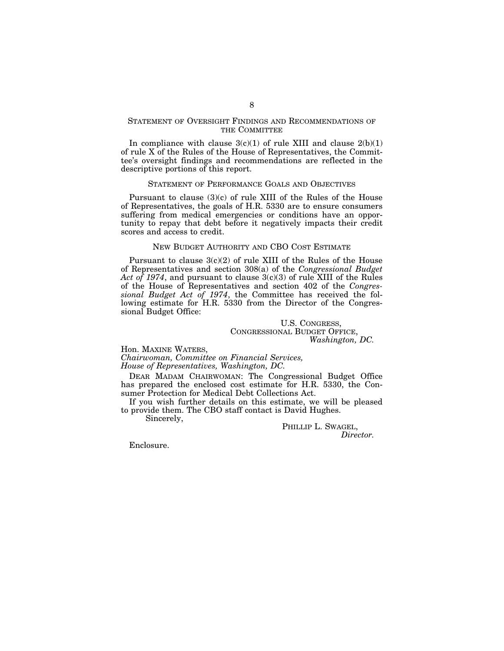## STATEMENT OF OVERSIGHT FINDINGS AND RECOMMENDATIONS OF THE COMMITTEE

In compliance with clause  $3(c)(1)$  of rule XIII and clause  $2(b)(1)$ of rule X of the Rules of the House of Representatives, the Committee's oversight findings and recommendations are reflected in the descriptive portions of this report.

### STATEMENT OF PERFORMANCE GOALS AND OBJECTIVES

Pursuant to clause (3)(c) of rule XIII of the Rules of the House of Representatives, the goals of H.R. 5330 are to ensure consumers suffering from medical emergencies or conditions have an opportunity to repay that debt before it negatively impacts their credit scores and access to credit.

## NEW BUDGET AUTHORITY AND CBO COST ESTIMATE

Pursuant to clause 3(c)(2) of rule XIII of the Rules of the House of Representatives and section 308(a) of the *Congressional Budget Act of 1974*, and pursuant to clause 3(c)(3) of rule XIII of the Rules of the House of Representatives and section 402 of the *Congressional Budget Act of 1974*, the Committee has received the following estimate for H.R. 5330 from the Director of the Congressional Budget Office:

> U.S. CONGRESS, CONGRESSIONAL BUDGET OFFICE, *Washington, DC.*

Hon. MAXINE WATERS, *Chairwoman, Committee on Financial Services, House of Representatives, Washington, DC.* 

DEAR MADAM CHAIRWOMAN: The Congressional Budget Office has prepared the enclosed cost estimate for H.R. 5330, the Consumer Protection for Medical Debt Collections Act.

If you wish further details on this estimate, we will be pleased to provide them. The CBO staff contact is David Hughes.

Sincerely,

PHILLIP L. SWAGEL, *Director.* 

Enclosure.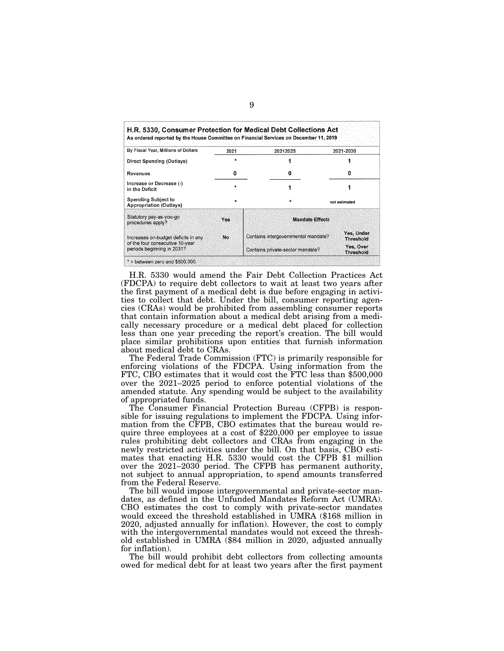| By Fiscal Year, Millions of Dollars                           | 2021 | 20212025                            | 2021-2030                      |
|---------------------------------------------------------------|------|-------------------------------------|--------------------------------|
| Direct Spending (Outlays)                                     |      |                                     |                                |
| Revenues                                                      | 0    | o                                   |                                |
| Increase or Decrease (-)<br>in the Deficit                    | ٠    |                                     |                                |
| Spending Subject to<br><b>Appropriation (Outlays)</b>         |      | ÷                                   | not estimated                  |
| Statutory pay-as-you-go<br>procedures apply?                  | Yes  | <b>Mandate Effects</b>              |                                |
| Increases on-budget deficits in any                           | No.  | Contains intergovernmental mandate? | Yes, Under<br><b>Threshold</b> |
| of the four consecutive 10-year<br>periods beginning in 2031? |      | Contains private-sector mandate?    | Yes, Over<br><b>Threshold</b>  |

H.R. 5330 would amend the Fair Debt Collection Practices Act (FDCPA) to require debt collectors to wait at least two years after the first payment of a medical debt is due before engaging in activities to collect that debt. Under the bill, consumer reporting agencies (CRAs) would be prohibited from assembling consumer reports that contain information about a medical debt arising from a medically necessary procedure or a medical debt placed for collection less than one year preceding the report's creation. The bill would place similar prohibitions upon entities that furnish information about medical debt to CRAs.

The Federal Trade Commission (FTC) is primarily responsible for enforcing violations of the FDCPA. Using information from the FTC, CBO estimates that it would cost the FTC less than \$500,000 over the 2021–2025 period to enforce potential violations of the amended statute. Any spending would be subject to the availability of appropriated funds.

The Consumer Financial Protection Bureau (CFPB) is responsible for issuing regulations to implement the FDCPA. Using information from the CFPB, CBO estimates that the bureau would require three employees at a cost of \$220,000 per employee to issue rules prohibiting debt collectors and CRAs from engaging in the newly restricted activities under the bill. On that basis, CBO estimates that enacting H.R. 5330 would cost the CFPB \$1 million over the 2021–2030 period. The CFPB has permanent authority, not subject to annual appropriation, to spend amounts transferred from the Federal Reserve.

The bill would impose intergovernmental and private-sector mandates, as defined in the Unfunded Mandates Reform Act (UMRA). CBO estimates the cost to comply with private-sector mandates would exceed the threshold established in UMRA (\$168 million in 2020, adjusted annually for inflation). However, the cost to comply with the intergovernmental mandates would not exceed the threshold established in UMRA (\$84 million in 2020, adjusted annually for inflation).

The bill would prohibit debt collectors from collecting amounts owed for medical debt for at least two years after the first payment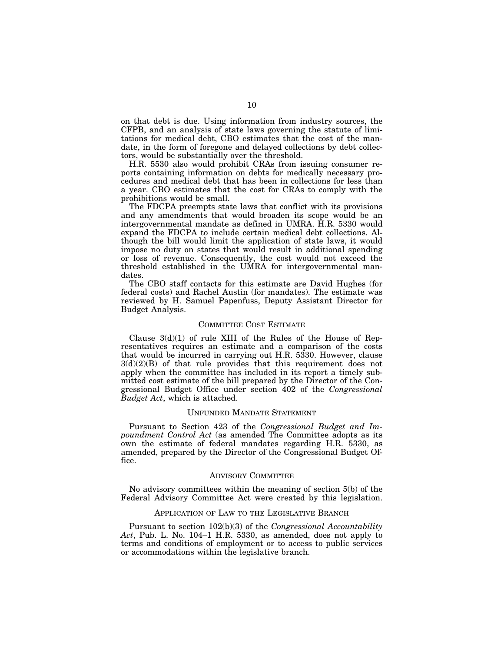on that debt is due. Using information from industry sources, the CFPB, and an analysis of state laws governing the statute of limitations for medical debt, CBO estimates that the cost of the mandate, in the form of foregone and delayed collections by debt collectors, would be substantially over the threshold.

H.R. 5530 also would prohibit CRAs from issuing consumer reports containing information on debts for medically necessary procedures and medical debt that has been in collections for less than a year. CBO estimates that the cost for CRAs to comply with the prohibitions would be small.

The FDCPA preempts state laws that conflict with its provisions and any amendments that would broaden its scope would be an intergovernmental mandate as defined in UMRA. H.R. 5330 would expand the FDCPA to include certain medical debt collections. Although the bill would limit the application of state laws, it would impose no duty on states that would result in additional spending or loss of revenue. Consequently, the cost would not exceed the threshold established in the UMRA for intergovernmental mandates.

The CBO staff contacts for this estimate are David Hughes (for federal costs) and Rachel Austin (for mandates). The estimate was reviewed by H. Samuel Papenfuss, Deputy Assistant Director for Budget Analysis.

### COMMITTEE COST ESTIMATE

Clause  $3(d)(1)$  of rule XIII of the Rules of the House of Representatives requires an estimate and a comparison of the costs that would be incurred in carrying out H.R. 5330. However, clause  $3(d)(2)(B)$  of that rule provides that this requirement does not apply when the committee has included in its report a timely submitted cost estimate of the bill prepared by the Director of the Congressional Budget Office under section 402 of the *Congressional Budget Act*, which is attached.

### UNFUNDED MANDATE STATEMENT

Pursuant to Section 423 of the *Congressional Budget and Impoundment Control Act* (as amended The Committee adopts as its own the estimate of federal mandates regarding H.R. 5330, as amended, prepared by the Director of the Congressional Budget Office.

### ADVISORY COMMITTEE

No advisory committees within the meaning of section 5(b) of the Federal Advisory Committee Act were created by this legislation.

#### APPLICATION OF LAW TO THE LEGISLATIVE BRANCH

Pursuant to section 102(b)(3) of the *Congressional Accountability Act*, Pub. L. No. 104–1 H.R. 5330, as amended, does not apply to terms and conditions of employment or to access to public services or accommodations within the legislative branch.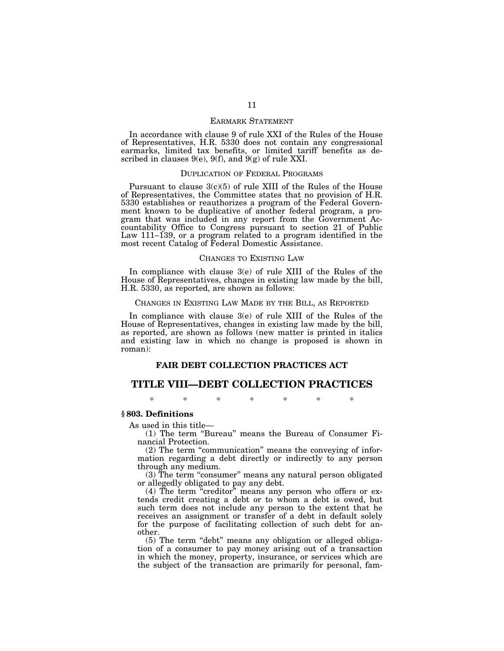### EARMARK STATEMENT

In accordance with clause 9 of rule XXI of the Rules of the House of Representatives, H.R. 5330 does not contain any congressional earmarks, limited tax benefits, or limited tariff benefits as described in clauses 9(e), 9(f), and  $9(g)$  of rule XXI.

### DUPLICATION OF FEDERAL PROGRAMS

Pursuant to clause  $3(c)(5)$  of rule XIII of the Rules of the House of Representatives, the Committee states that no provision of H.R. 5330 establishes or reauthorizes a program of the Federal Government known to be duplicative of another federal program, a program that was included in any report from the Government Accountability Office to Congress pursuant to section 21 of Public Law 111–139, or a program related to a program identified in the most recent Catalog of Federal Domestic Assistance.

### CHANGES TO EXISTING LAW

In compliance with clause 3(e) of rule XIII of the Rules of the House of Representatives, changes in existing law made by the bill, H.R. 5330, as reported, are shown as follows:

### CHANGES IN EXISTING LAW MADE BY THE BILL, AS REPORTED

In compliance with clause 3(e) of rule XIII of the Rules of the House of Representatives, changes in existing law made by the bill, as reported, are shown as follows (new matter is printed in italics and existing law in which no change is proposed is shown in roman):

# **FAIR DEBT COLLECTION PRACTICES ACT**

# **TITLE VIII—DEBT COLLECTION PRACTICES**

\* \* \* \* \* \* \*

# **§ 803. Definitions**

As used in this title—

(1) The term ''Bureau'' means the Bureau of Consumer Financial Protection.

(2) The term ''communication'' means the conveying of information regarding a debt directly or indirectly to any person through any medium.

(3) The term ''consumer'' means any natural person obligated or allegedly obligated to pay any debt.

(4) The term "creditor" means any person who offers or extends credit creating a debt or to whom a debt is owed, but such term does not include any person to the extent that he receives an assignment or transfer of a debt in default solely for the purpose of facilitating collection of such debt for another.

(5) The term ''debt'' means any obligation or alleged obligation of a consumer to pay money arising out of a transaction in which the money, property, insurance, or services which are the subject of the transaction are primarily for personal, fam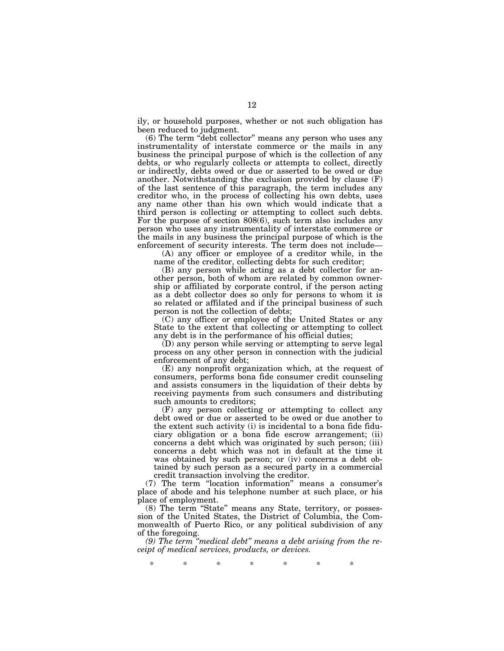ily, or household purposes, whether or not such obligation has been reduced to judgment.

(6) The term ''debt collector'' means any person who uses any instrumentality of interstate commerce or the mails in any business the principal purpose of which is the collection of any debts, or who regularly collects or attempts to collect, directly or indirectly, debts owed or due or asserted to be owed or due another. Notwithstanding the exclusion provided by clause (F) of the last sentence of this paragraph, the term includes any creditor who, in the process of collecting his own debts, uses any name other than his own which would indicate that a third person is collecting or attempting to collect such debts. For the purpose of section 808(6), such term also includes any person who uses any instrumentality of interstate commerce or the mails in any business the principal purpose of which is the enforcement of security interests. The term does not include—

(A) any officer or employee of a creditor while, in the name of the creditor, collecting debts for such creditor;

(B) any person while acting as a debt collector for another person, both of whom are related by common ownership or affiliated by corporate control, if the person acting as a debt collector does so only for persons to whom it is so related or affilated and if the principal business of such person is not the collection of debts;

(C) any officer or employee of the United States or any State to the extent that collecting or attempting to collect any debt is in the performance of his official duties;

(D) any person while serving or attempting to serve legal process on any other person in connection with the judicial enforcement of any debt;

(E) any nonprofit organization which, at the request of consumers, performs bona fide consumer credit counseling and assists consumers in the liquidation of their debts by receiving payments from such consumers and distributing such amounts to creditors;

(F) any person collecting or attempting to collect any debt owed or due or asserted to be owed or due another to the extent such activity (i) is incidental to a bona fide fiduciary obligation or a bona fide escrow arrangement; (ii) concerns a debt which was originated by such person; (iii) concerns a debt which was not in default at the time it was obtained by such person; or (iv) concerns a debt obtained by such person as a secured party in a commercial credit transaction involving the creditor.

(7) The term ''location information'' means a consumer's place of abode and his telephone number at such place, or his place of employment.

(8) The term ''State'' means any State, territory, or possession of the United States, the District of Columbia, the Commonwealth of Puerto Rico, or any political subdivision of any of the foregoing.

*(9) The term ''medical debt'' means a debt arising from the receipt of medical services, products, or devices.* 

\* \* \* \* \* \* \*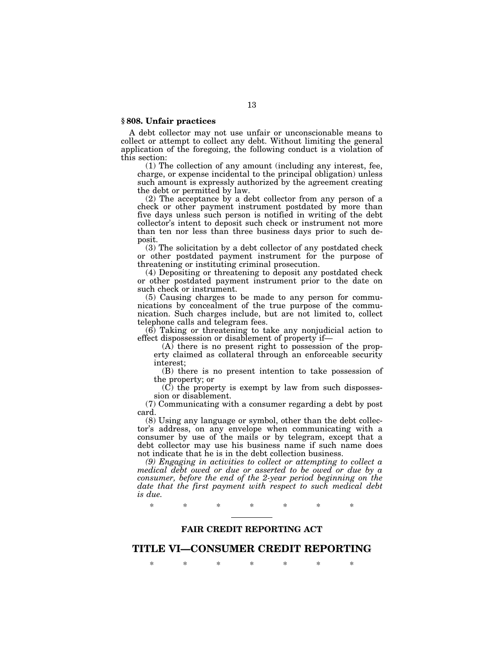## **§ 808. Unfair practices**

A debt collector may not use unfair or unconscionable means to collect or attempt to collect any debt. Without limiting the general application of the foregoing, the following conduct is a violation of this section:

(1) The collection of any amount (including any interest, fee, charge, or expense incidental to the principal obligation) unless such amount is expressly authorized by the agreement creating the debt or permitted by law.

(2) The acceptance by a debt collector from any person of a check or other payment instrument postdated by more than five days unless such person is notified in writing of the debt collector's intent to deposit such check or instrument not more than ten nor less than three business days prior to such deposit.

(3) The solicitation by a debt collector of any postdated check or other postdated payment instrument for the purpose of threatening or instituting criminal prosecution.

(4) Depositing or threatening to deposit any postdated check or other postdated payment instrument prior to the date on such check or instrument.

(5) Causing charges to be made to any person for communications by concealment of the true purpose of the communication. Such charges include, but are not limited to, collect telephone calls and telegram fees.

(6) Taking or threatening to take any nonjudicial action to effect dispossession or disablement of property if—

(A) there is no present right to possession of the property claimed as collateral through an enforceable security interest;

(B) there is no present intention to take possession of the property; or

 $(C)$  the property is exempt by law from such dispossession or disablement.

(7) Communicating with a consumer regarding a debt by post card.

(8) Using any language or symbol, other than the debt collector's address, on any envelope when communicating with a consumer by use of the mails or by telegram, except that a debt collector may use his business name if such name does not indicate that he is in the debt collection business.

*(9) Engaging in activities to collect or attempting to collect a medical debt owed or due or asserted to be owed or due by a consumer, before the end of the 2-year period beginning on the date that the first payment with respect to such medical debt is due.* 

\* \* \* \* \* \* \*

# **FAIR CREDIT REPORTING ACT**

# **TITLE VI—CONSUMER CREDIT REPORTING**

\* \* \* \* \* \* \*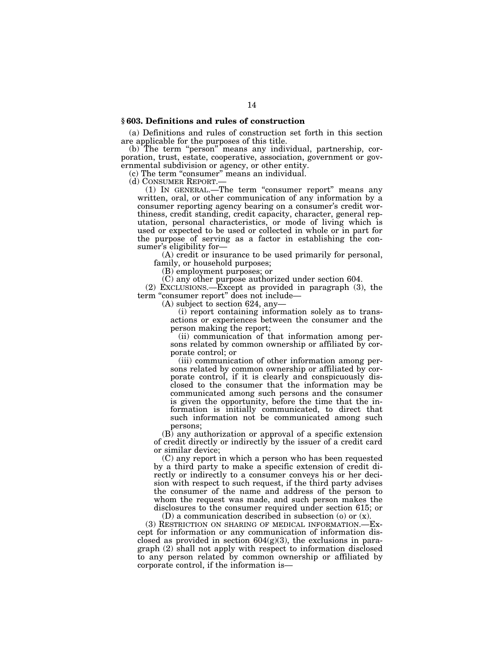### **§ 603. Definitions and rules of construction**

(a) Definitions and rules of construction set forth in this section are applicable for the purposes of this title.

(b) The term ''person'' means any individual, partnership, corporation, trust, estate, cooperative, association, government or governmental subdivision or agency, or other entity.

(c) The term "consumer" means an individual.

(d) CONSUMER REPORT.— (1) IN GENERAL.—The term ''consumer report'' means any written, oral, or other communication of any information by a consumer reporting agency bearing on a consumer's credit worthiness, credit standing, credit capacity, character, general reputation, personal characteristics, or mode of living which is used or expected to be used or collected in whole or in part for the purpose of serving as a factor in establishing the consumer's eligibility for—

(A) credit or insurance to be used primarily for personal, family, or household purposes;

(B) employment purposes; or

(C) any other purpose authorized under section 604.

(2) EXCLUSIONS.—Except as provided in paragraph (3), the term "consumer report" does not include—

(A) subject to section 624, any—

(i) report containing information solely as to transactions or experiences between the consumer and the person making the report;

(ii) communication of that information among persons related by common ownership or affiliated by corporate control; or

(iii) communication of other information among persons related by common ownership or affiliated by corporate control, if it is clearly and conspicuously disclosed to the consumer that the information may be communicated among such persons and the consumer is given the opportunity, before the time that the information is initially communicated, to direct that such information not be communicated among such persons;

(B) any authorization or approval of a specific extension of credit directly or indirectly by the issuer of a credit card or similar device;

(C) any report in which a person who has been requested by a third party to make a specific extension of credit directly or indirectly to a consumer conveys his or her decision with respect to such request, if the third party advises the consumer of the name and address of the person to whom the request was made, and such person makes the disclosures to the consumer required under section 615; or (D) a communication described in subsection (o) or (x).

(3) RESTRICTION ON SHARING OF MEDICAL INFORMATION.—Except for information or any communication of information disclosed as provided in section  $604(g)(3)$ , the exclusions in paragraph (2) shall not apply with respect to information disclosed to any person related by common ownership or affiliated by corporate control, if the information is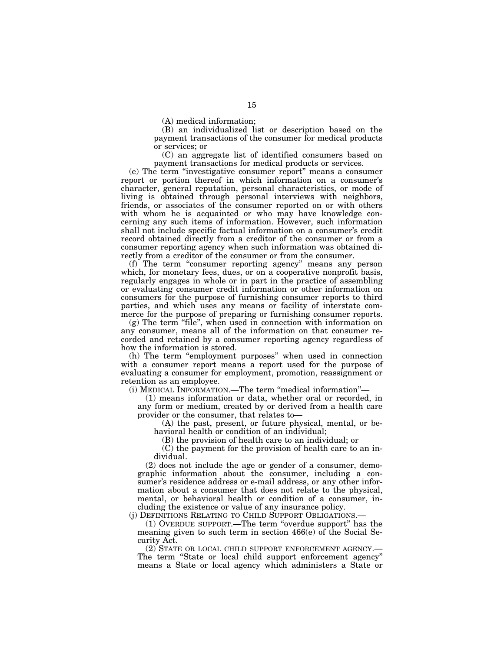(A) medical information;

(B) an individualized list or description based on the payment transactions of the consumer for medical products or services; or

(C) an aggregate list of identified consumers based on payment transactions for medical products or services.

(e) The term ''investigative consumer report'' means a consumer report or portion thereof in which information on a consumer's character, general reputation, personal characteristics, or mode of living is obtained through personal interviews with neighbors, friends, or associates of the consumer reported on or with others with whom he is acquainted or who may have knowledge concerning any such items of information. However, such information shall not include specific factual information on a consumer's credit record obtained directly from a creditor of the consumer or from a consumer reporting agency when such information was obtained directly from a creditor of the consumer or from the consumer.

(f) The term ''consumer reporting agency'' means any person which, for monetary fees, dues, or on a cooperative nonprofit basis, regularly engages in whole or in part in the practice of assembling or evaluating consumer credit information or other information on consumers for the purpose of furnishing consumer reports to third parties, and which uses any means or facility of interstate commerce for the purpose of preparing or furnishing consumer reports.

 $(g)$  The term "file", when used in connection with information on any consumer, means all of the information on that consumer recorded and retained by a consumer reporting agency regardless of how the information is stored.

(h) The term ''employment purposes'' when used in connection with a consumer report means a report used for the purpose of evaluating a consumer for employment, promotion, reassignment or retention as an employee.

(i) MEDICAL INFORMATION.—The term ''medical information''—

(1) means information or data, whether oral or recorded, in any form or medium, created by or derived from a health care provider or the consumer, that relates to—

(A) the past, present, or future physical, mental, or behavioral health or condition of an individual;

(B) the provision of health care to an individual; or

(C) the payment for the provision of health care to an individual.

(2) does not include the age or gender of a consumer, demographic information about the consumer, including a consumer's residence address or e-mail address, or any other information about a consumer that does not relate to the physical, mental, or behavioral health or condition of a consumer, including the existence or value of any insurance policy.

(j) DEFINITIONS RELATING TO CHILD SUPPORT OBLIGATIONS.—

(1) OVERDUE SUPPORT.—The term ''overdue support'' has the meaning given to such term in section 466(e) of the Social Security Act.

(2) STATE OR LOCAL CHILD SUPPORT ENFORCEMENT AGENCY.— The term "State or local child support enforcement agency" means a State or local agency which administers a State or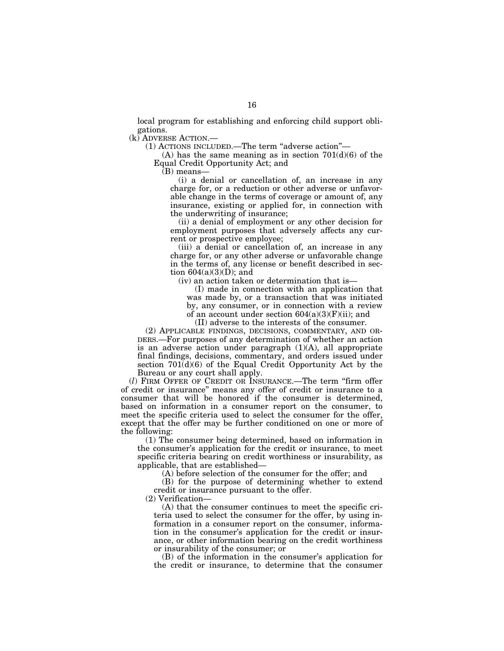local program for establishing and enforcing child support obligations.

(k) ADVERSE ACTION.—

(1) ACTIONS INCLUDED.—The term ''adverse action''—

(A) has the same meaning as in section  $701(d)(6)$  of the Equal Credit Opportunity Act; and

 $(B)$  means-

(i) a denial or cancellation of, an increase in any charge for, or a reduction or other adverse or unfavorable change in the terms of coverage or amount of, any insurance, existing or applied for, in connection with the underwriting of insurance;

(ii) a denial of employment or any other decision for employment purposes that adversely affects any current or prospective employee;

(iii) a denial or cancellation of, an increase in any charge for, or any other adverse or unfavorable change in the terms of, any license or benefit described in section  $604(a)(3)(D)$ ; and

(iv) an action taken or determination that is—

(I) made in connection with an application that was made by, or a transaction that was initiated by, any consumer, or in connection with a review of an account under section  $604(a)(3)(F)(ii)$ ; and

(II) adverse to the interests of the consumer.

(2) APPLICABLE FINDINGS, DECISIONS, COMMENTARY, AND OR-DERS.—For purposes of any determination of whether an action is an adverse action under paragraph (1)(A), all appropriate final findings, decisions, commentary, and orders issued under section 701(d)(6) of the Equal Credit Opportunity Act by the Bureau or any court shall apply.

(*l*) FIRM OFFER OF CREDIT OR INSURANCE.—The term ''firm offer of credit or insurance'' means any offer of credit or insurance to a consumer that will be honored if the consumer is determined, based on information in a consumer report on the consumer, to meet the specific criteria used to select the consumer for the offer, except that the offer may be further conditioned on one or more of the following:

(1) The consumer being determined, based on information in the consumer's application for the credit or insurance, to meet specific criteria bearing on credit worthiness or insurability, as applicable, that are established—

(A) before selection of the consumer for the offer; and

(B) for the purpose of determining whether to extend credit or insurance pursuant to the offer.

(2) Verification—

(A) that the consumer continues to meet the specific criteria used to select the consumer for the offer, by using information in a consumer report on the consumer, information in the consumer's application for the credit or insurance, or other information bearing on the credit worthiness or insurability of the consumer; or

(B) of the information in the consumer's application for the credit or insurance, to determine that the consumer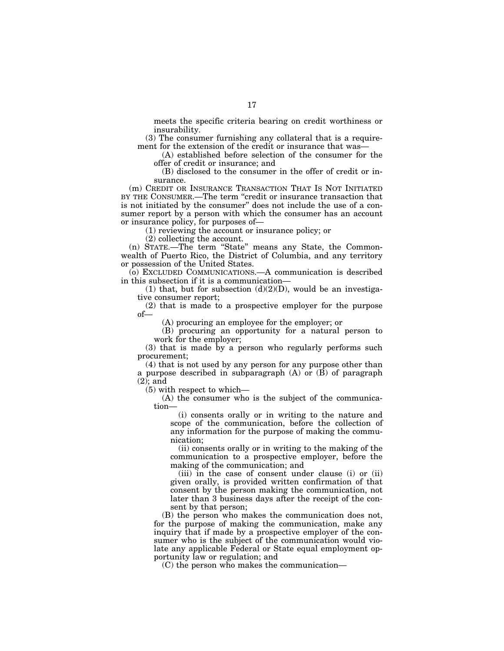meets the specific criteria bearing on credit worthiness or insurability.

(3) The consumer furnishing any collateral that is a requirement for the extension of the credit or insurance that was—

(A) established before selection of the consumer for the offer of credit or insurance; and

(B) disclosed to the consumer in the offer of credit or insurance.

(m) CREDIT OR INSURANCE TRANSACTION THAT IS NOT INITIATED BY THE CONSUMER.—The term "credit or insurance transaction that is not initiated by the consumer'' does not include the use of a consumer report by a person with which the consumer has an account or insurance policy, for purposes of—

(1) reviewing the account or insurance policy; or

(2) collecting the account.

(n) STATE.—The term "State" means any State, the Commonwealth of Puerto Rico, the District of Columbia, and any territory or possession of the United States.

(o) EXCLUDED COMMUNICATIONS.—A communication is described in this subsection if it is a communication—

(1) that, but for subsection  $(d)(2)(D)$ , would be an investigative consumer report;

(2) that is made to a prospective employer for the purpose of—

(A) procuring an employee for the employer; or

(B) procuring an opportunity for a natural person to work for the employer;

(3) that is made by a person who regularly performs such procurement;

(4) that is not used by any person for any purpose other than a purpose described in subparagraph (A) or (B) of paragraph (2); and

(5) with respect to which—

(A) the consumer who is the subject of the communication—

(i) consents orally or in writing to the nature and scope of the communication, before the collection of any information for the purpose of making the communication;

(ii) consents orally or in writing to the making of the communication to a prospective employer, before the making of the communication; and

(iii) in the case of consent under clause (i) or (ii) given orally, is provided written confirmation of that consent by the person making the communication, not later than 3 business days after the receipt of the consent by that person;

(B) the person who makes the communication does not, for the purpose of making the communication, make any inquiry that if made by a prospective employer of the consumer who is the subject of the communication would violate any applicable Federal or State equal employment opportunity law or regulation; and

(C) the person who makes the communication—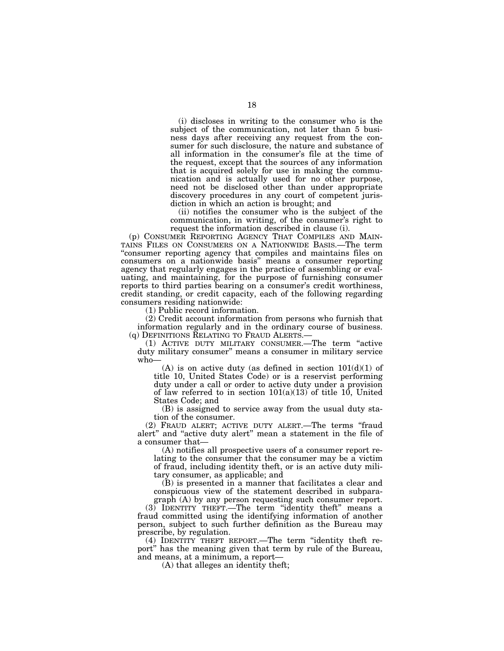(i) discloses in writing to the consumer who is the subject of the communication, not later than 5 business days after receiving any request from the consumer for such disclosure, the nature and substance of all information in the consumer's file at the time of the request, except that the sources of any information that is acquired solely for use in making the communication and is actually used for no other purpose, need not be disclosed other than under appropriate discovery procedures in any court of competent jurisdiction in which an action is brought; and

(ii) notifies the consumer who is the subject of the communication, in writing, of the consumer's right to request the information described in clause (i).

(p) CONSUMER REPORTING AGENCY THAT COMPILES AND MAIN-TAINS FILES ON CONSUMERS ON A NATIONWIDE BASIS.—The term ''consumer reporting agency that compiles and maintains files on consumers on a nationwide basis'' means a consumer reporting agency that regularly engages in the practice of assembling or evaluating, and maintaining, for the purpose of furnishing consumer reports to third parties bearing on a consumer's credit worthiness, credit standing, or credit capacity, each of the following regarding consumers residing nationwide:

(1) Public record information.

(2) Credit account information from persons who furnish that information regularly and in the ordinary course of business.<br>(q) DEFINITIONS RELATING TO FRAUD ALERTS.—

(1) ACTIVE DUTY MILITARY CONSUMER.—The term "active duty military consumer'' means a consumer in military service who—

(A) is on active duty (as defined in section  $101(d)(1)$  of title 10, United States Code) or is a reservist performing duty under a call or order to active duty under a provision of law referred to in section  $101(a)(13)$  of title 10, United States Code; and

(B) is assigned to service away from the usual duty station of the consumer.

(2) FRAUD ALERT; ACTIVE DUTY ALERT.—The terms ''fraud alert'' and ''active duty alert'' mean a statement in the file of a consumer that—

(A) notifies all prospective users of a consumer report relating to the consumer that the consumer may be a victim of fraud, including identity theft, or is an active duty military consumer, as applicable; and

(B) is presented in a manner that facilitates a clear and conspicuous view of the statement described in subparagraph (A) by any person requesting such consumer report.

(3) IDENTITY THEFT.—The term ''identity theft'' means a fraud committed using the identifying information of another person, subject to such further definition as the Bureau may prescribe, by regulation.

(4) IDENTITY THEFT REPORT.—The term ''identity theft report'' has the meaning given that term by rule of the Bureau, and means, at a minimum, a report—

(A) that alleges an identity theft;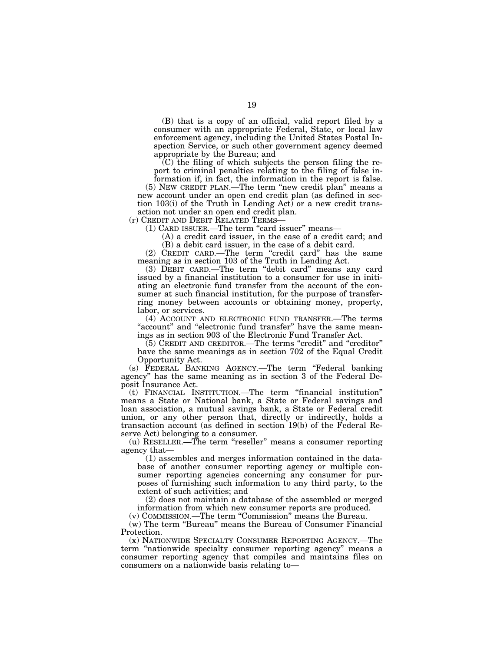(B) that is a copy of an official, valid report filed by a consumer with an appropriate Federal, State, or local law enforcement agency, including the United States Postal Inspection Service, or such other government agency deemed appropriate by the Bureau; and

(C) the filing of which subjects the person filing the report to criminal penalties relating to the filing of false in-

formation if, in fact, the information in the report is false. (5) NEW CREDIT PLAN.—The term ''new credit plan'' means a new account under an open end credit plan (as defined in section 103(i) of the Truth in Lending Act) or a new credit transaction not under an open end credit plan.

(r) CREDIT AND DEBIT RELATED TERMS—

(1) CARD ISSUER.—The term "card issuer" means—

(A) a credit card issuer, in the case of a credit card; and (B) a debit card issuer, in the case of a debit card.

(2) CREDIT CARD.—The term "credit card" has the same meaning as in section 103 of the Truth in Lending Act.

(3) DEBIT CARD.—The term ''debit card'' means any card issued by a financial institution to a consumer for use in initiating an electronic fund transfer from the account of the consumer at such financial institution, for the purpose of transferring money between accounts or obtaining money, property, labor, or services.

(4) ACCOUNT AND ELECTRONIC FUND TRANSFER.—The terms "account" and "electronic fund transfer" have the same meanings as in section 903 of the Electronic Fund Transfer Act.

 $(5)$  CREDIT AND CREDITOR.—The terms "credit" and "creditor" have the same meanings as in section 702 of the Equal Credit Opportunity Act.

(s) FEDERAL BANKING AGENCY.—The term ''Federal banking agency'' has the same meaning as in section 3 of the Federal Deposit Insurance Act.

(t) FINANCIAL INSTITUTION.—The term ''financial institution'' means a State or National bank, a State or Federal savings and loan association, a mutual savings bank, a State or Federal credit union, or any other person that, directly or indirectly, holds a transaction account (as defined in section 19(b) of the Federal Reserve Act) belonging to a consumer.

(u) RESELLER.—The term ''reseller'' means a consumer reporting agency that—

(1) assembles and merges information contained in the database of another consumer reporting agency or multiple consumer reporting agencies concerning any consumer for purposes of furnishing such information to any third party, to the extent of such activities; and

(2) does not maintain a database of the assembled or merged information from which new consumer reports are produced.

(v) COMMISSION.—The term ''Commission'' means the Bureau.

(w) The term ''Bureau'' means the Bureau of Consumer Financial Protection.

(x) NATIONWIDE SPECIALTY CONSUMER REPORTING AGENCY.—The term ''nationwide specialty consumer reporting agency'' means a consumer reporting agency that compiles and maintains files on consumers on a nationwide basis relating to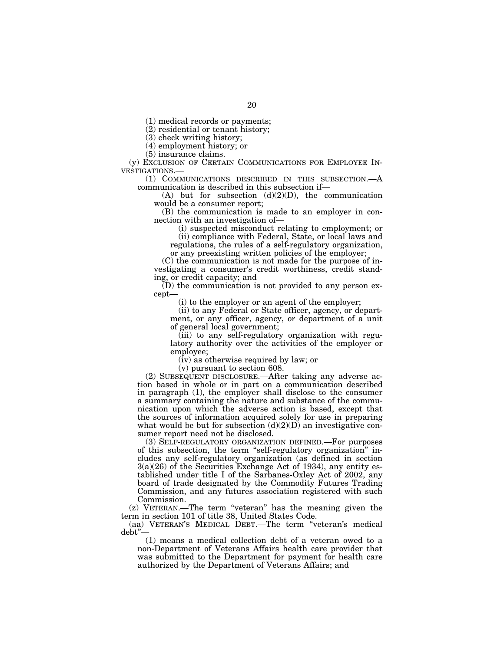(1) medical records or payments;

(2) residential or tenant history;

(3) check writing history;

(4) employment history; or

(5) insurance claims.

(y) EXCLUSION OF CERTAIN COMMUNICATIONS FOR EMPLOYEE INVESTIGATIONS.—<br>(1) COMMUNICATIONS DESCRIBED IN THIS SUBSECTION.—A

communication is described in this subsection if—

(A) but for subsection  $(d)(2)(D)$ , the communication would be a consumer report;

(B) the communication is made to an employer in connection with an investigation of—

(i) suspected misconduct relating to employment; or

(ii) compliance with Federal, State, or local laws and regulations, the rules of a self-regulatory organization, or any preexisting written policies of the employer;

(C) the communication is not made for the purpose of investigating a consumer's credit worthiness, credit standing, or credit capacity; and

(D) the communication is not provided to any person except—

(i) to the employer or an agent of the employer;

(ii) to any Federal or State officer, agency, or department, or any officer, agency, or department of a unit of general local government;

(iii) to any self-regulatory organization with regulatory authority over the activities of the employer or employee;

(iv) as otherwise required by law; or

(v) pursuant to section 608.

(2) SUBSEQUENT DISCLOSURE.—After taking any adverse action based in whole or in part on a communication described in paragraph (1), the employer shall disclose to the consumer a summary containing the nature and substance of the communication upon which the adverse action is based, except that the sources of information acquired solely for use in preparing what would be but for subsection  $(d)(2)(D)$  an investigative consumer report need not be disclosed.

(3) SELF-REGULATORY ORGANIZATION DEFINED.—For purposes of this subsection, the term ''self-regulatory organization'' includes any self-regulatory organization (as defined in section  $3(a)(26)$  of the Securities Exchange Act of 1934), any entity established under title I of the Sarbanes-Oxley Act of 2002, any board of trade designated by the Commodity Futures Trading Commission, and any futures association registered with such Commission.

(z) VETERAN.—The term ''veteran'' has the meaning given the term in section 101 of title 38, United States Code.

(aa) VETERAN'S MEDICAL DEBT.—The term ''veteran's medical debt''—

(1) means a medical collection debt of a veteran owed to a non-Department of Veterans Affairs health care provider that was submitted to the Department for payment for health care authorized by the Department of Veterans Affairs; and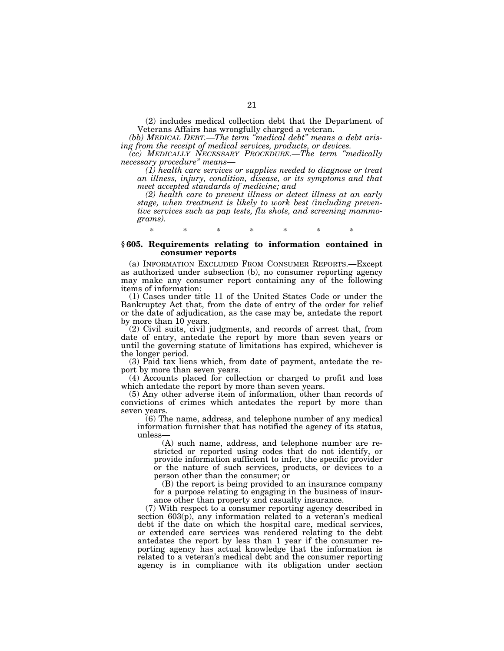(2) includes medical collection debt that the Department of Veterans Affairs has wrongfully charged a veteran.

*(bb) MEDICAL DEBT.—The term ''medical debt'' means a debt arising from the receipt of medical services, products, or devices.* 

*(cc) MEDICALLY NECESSARY PROCEDURE.—The term ''medically necessary procedure'' means—* 

*(1) health care services or supplies needed to diagnose or treat an illness, injury, condition, disease, or its symptoms and that meet accepted standards of medicine; and* 

*(2) health care to prevent illness or detect illness at an early stage, when treatment is likely to work best (including preventive services such as pap tests, flu shots, and screening mammograms).* 

\* \* \* \* \* \* \*

## **§ 605. Requirements relating to information contained in consumer reports**

(a) INFORMATION EXCLUDED FROM CONSUMER REPORTS.—Except as authorized under subsection (b), no consumer reporting agency may make any consumer report containing any of the following items of information:

(1) Cases under title 11 of the United States Code or under the Bankruptcy Act that, from the date of entry of the order for relief or the date of adjudication, as the case may be, antedate the report by more than 10 years.

(2) Civil suits, civil judgments, and records of arrest that, from date of entry, antedate the report by more than seven years or until the governing statute of limitations has expired, whichever is the longer period.

(3) Paid tax liens which, from date of payment, antedate the report by more than seven years.

(4) Accounts placed for collection or charged to profit and loss which antedate the report by more than seven years.

(5) Any other adverse item of information, other than records of convictions of crimes which antedates the report by more than seven years.

(6) The name, address, and telephone number of any medical information furnisher that has notified the agency of its status, unless—

(A) such name, address, and telephone number are restricted or reported using codes that do not identify, or provide information sufficient to infer, the specific provider or the nature of such services, products, or devices to a person other than the consumer; or

(B) the report is being provided to an insurance company for a purpose relating to engaging in the business of insurance other than property and casualty insurance.

(7) With respect to a consumer reporting agency described in section 603(p), any information related to a veteran's medical debt if the date on which the hospital care, medical services, or extended care services was rendered relating to the debt antedates the report by less than 1 year if the consumer reporting agency has actual knowledge that the information is related to a veteran's medical debt and the consumer reporting agency is in compliance with its obligation under section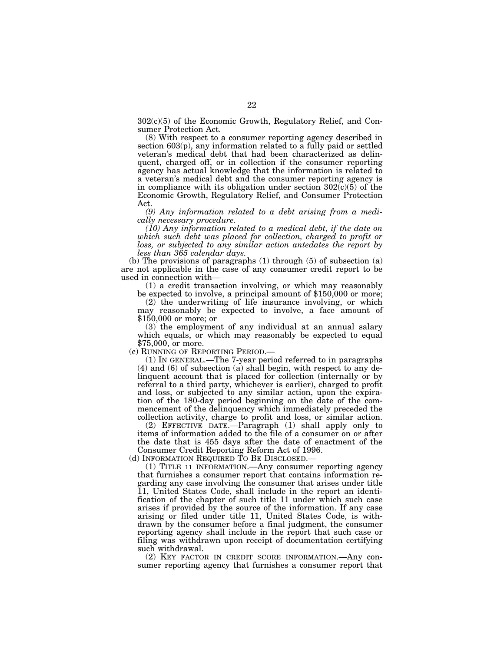$302(c)(5)$  of the Economic Growth, Regulatory Relief, and Consumer Protection Act.

(8) With respect to a consumer reporting agency described in section 603(p), any information related to a fully paid or settled veteran's medical debt that had been characterized as delinquent, charged off, or in collection if the consumer reporting agency has actual knowledge that the information is related to a veteran's medical debt and the consumer reporting agency is in compliance with its obligation under section  $302(c)(5)$  of the Economic Growth, Regulatory Relief, and Consumer Protection Act.

*(9) Any information related to a debt arising from a medically necessary procedure.* 

*(10) Any information related to a medical debt, if the date on which such debt was placed for collection, charged to profit or* loss, or subjected to any similar action antedates the report by *less than 365 calendar days.* 

(b) The provisions of paragraphs (1) through (5) of subsection (a) are not applicable in the case of any consumer credit report to be used in connection with—<br>(1) a credit transaction involving, or which may reasonably

be expected to involve, a principal amount of \$150,000 or more;

(2) the underwriting of life insurance involving, or which may reasonably be expected to involve, a face amount of \$150,000 or more; or

(3) the employment of any individual at an annual salary which equals, or which may reasonably be expected to equal \$75,000, or more.

(c) RUNNING OF REPORTING PERIOD.—

(1) IN GENERAL.—The 7-year period referred to in paragraphs (4) and (6) of subsection (a) shall begin, with respect to any delinquent account that is placed for collection (internally or by referral to a third party, whichever is earlier), charged to profit and loss, or subjected to any similar action, upon the expiration of the 180-day period beginning on the date of the commencement of the delinquency which immediately preceded the collection activity, charge to profit and loss, or similar action.

(2) EFFECTIVE DATE.—Paragraph (1) shall apply only to items of information added to the file of a consumer on or after the date that is 455 days after the date of enactment of the Consumer Credit Reporting Reform Act of 1996.

(d) INFORMATION REQUIRED TO BE DISCLOSED.—

(1) TITLE 11 INFORMATION.—Any consumer reporting agency that furnishes a consumer report that contains information regarding any case involving the consumer that arises under title 11, United States Code, shall include in the report an identification of the chapter of such title 11 under which such case arises if provided by the source of the information. If any case arising or filed under title 11, United States Code, is withdrawn by the consumer before a final judgment, the consumer reporting agency shall include in the report that such case or filing was withdrawn upon receipt of documentation certifying such withdrawal.

(2) KEY FACTOR IN CREDIT SCORE INFORMATION.—Any consumer reporting agency that furnishes a consumer report that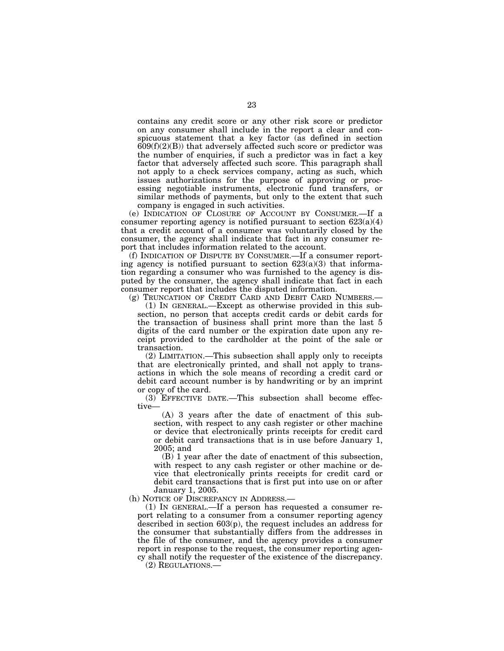contains any credit score or any other risk score or predictor on any consumer shall include in the report a clear and conspicuous statement that a key factor (as defined in section  $609(f)(2)(B)$  that adversely affected such score or predictor was the number of enquiries, if such a predictor was in fact a key factor that adversely affected such score. This paragraph shall not apply to a check services company, acting as such, which issues authorizations for the purpose of approving or processing negotiable instruments, electronic fund transfers, or similar methods of payments, but only to the extent that such company is engaged in such activities.

(e) INDICATION OF CLOSURE OF ACCOUNT BY CONSUMER.—If a consumer reporting agency is notified pursuant to section  $623(a)(4)$ that a credit account of a consumer was voluntarily closed by the consumer, the agency shall indicate that fact in any consumer report that includes information related to the account.

(f) INDICATION OF DISPUTE BY CONSUMER.—If a consumer reporting agency is notified pursuant to section  $623(a)(3)$  that information regarding a consumer who was furnished to the agency is disputed by the consumer, the agency shall indicate that fact in each consumer report that includes the disputed information.

(g) TRUNCATION OF CREDIT CARD AND DEBIT CARD NUMBERS.—

(1) IN GENERAL.—Except as otherwise provided in this subsection, no person that accepts credit cards or debit cards for the transaction of business shall print more than the last 5 digits of the card number or the expiration date upon any receipt provided to the cardholder at the point of the sale or transaction.

(2) LIMITATION.—This subsection shall apply only to receipts that are electronically printed, and shall not apply to transactions in which the sole means of recording a credit card or debit card account number is by handwriting or by an imprint or copy of the card.

(3) EFFECTIVE DATE.—This subsection shall become effective—

(A) 3 years after the date of enactment of this subsection, with respect to any cash register or other machine or device that electronically prints receipts for credit card or debit card transactions that is in use before January 1, 2005; and

(B) 1 year after the date of enactment of this subsection, with respect to any cash register or other machine or device that electronically prints receipts for credit card or debit card transactions that is first put into use on or after January 1, 2005.

(h) NOTICE OF DISCREPANCY IN ADDRESS.—

(1) IN GENERAL.—If a person has requested a consumer report relating to a consumer from a consumer reporting agency described in section 603(p), the request includes an address for the consumer that substantially differs from the addresses in the file of the consumer, and the agency provides a consumer report in response to the request, the consumer reporting agency shall notify the requester of the existence of the discrepancy.

(2) REGULATIONS.—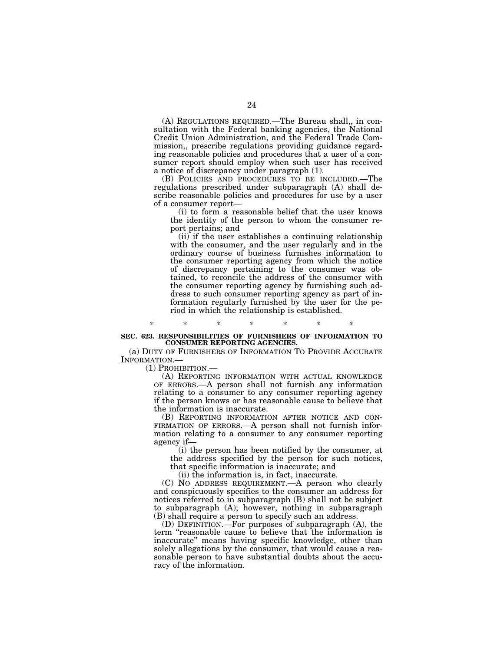(A) REGULATIONS REQUIRED.—The Bureau shall,, in consultation with the Federal banking agencies, the National Credit Union Administration, and the Federal Trade Commission,, prescribe regulations providing guidance regarding reasonable policies and procedures that a user of a consumer report should employ when such user has received a notice of discrepancy under paragraph (1).

(B) POLICIES AND PROCEDURES TO BE INCLUDED.—The regulations prescribed under subparagraph (A) shall describe reasonable policies and procedures for use by a user of a consumer report—

(i) to form a reasonable belief that the user knows the identity of the person to whom the consumer report pertains; and

 $(ii)$  if the user establishes a continuing relationship with the consumer, and the user regularly and in the ordinary course of business furnishes information to the consumer reporting agency from which the notice of discrepancy pertaining to the consumer was obtained, to reconcile the address of the consumer with the consumer reporting agency by furnishing such address to such consumer reporting agency as part of information regularly furnished by the user for the period in which the relationship is established.

## \* \* \* \* \* \* \* **SEC. 623. RESPONSIBILITIES OF FURNISHERS OF INFORMATION TO CONSUMER REPORTING AGENCIES.**

(a) DUTY OF FURNISHERS OF INFORMATION TO PROVIDE ACCURATE INFORMATION.—

(1) PROHIBITION.— (A) REPORTING INFORMATION WITH ACTUAL KNOWLEDGE OF ERRORS.—A person shall not furnish any information relating to a consumer to any consumer reporting agency if the person knows or has reasonable cause to believe that the information is inaccurate.<br>
(B) REPORTING INFORMATION AFTER NOTICE AND CON-

FIRMATION OF ERRORS.—A person shall not furnish information relating to a consumer to any consumer reporting agency if—

(i) the person has been notified by the consumer, at the address specified by the person for such notices, that specific information is inaccurate; and

(ii) the information is, in fact, inaccurate.

(C) NO ADDRESS REQUIREMENT.—A person who clearly and conspicuously specifies to the consumer an address for notices referred to in subparagraph (B) shall not be subject to subparagraph (A); however, nothing in subparagraph (B) shall require a person to specify such an address.

(D) DEFINITION.—For purposes of subparagraph (A), the term ''reasonable cause to believe that the information is inaccurate'' means having specific knowledge, other than solely allegations by the consumer, that would cause a reasonable person to have substantial doubts about the accuracy of the information.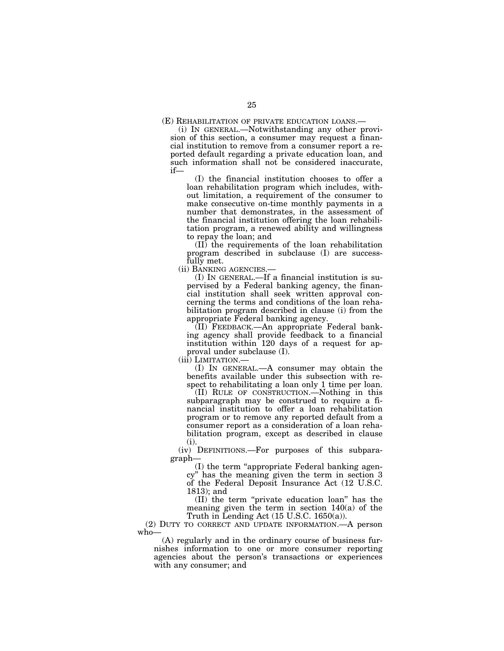(E) REHABILITATION OF PRIVATE EDUCATION LOANS.— (i) IN GENERAL.—Notwithstanding any other provi-

sion of this section, a consumer may request a financial institution to remove from a consumer report a reported default regarding a private education loan, and such information shall not be considered inaccurate, if—

(I) the financial institution chooses to offer a loan rehabilitation program which includes, without limitation, a requirement of the consumer to make consecutive on-time monthly payments in a number that demonstrates, in the assessment of the financial institution offering the loan rehabilitation program, a renewed ability and willingness to repay the loan; and

(II) the requirements of the loan rehabilitation program described in subclause (I) are successfully met.

(ii) BANKING AGENCIES.—

(I) IN GENERAL.—If a financial institution is supervised by a Federal banking agency, the financial institution shall seek written approval concerning the terms and conditions of the loan rehabilitation program described in clause (i) from the appropriate Federal banking agency.

(II) FEEDBACK.—An appropriate Federal banking agency shall provide feedback to a financial institution within 120 days of a request for approval under subclause (I).

(iii) LIMITATION.—

(I) IN GENERAL.—A consumer may obtain the benefits available under this subsection with respect to rehabilitating a loan only 1 time per loan.

(II) RULE OF CONSTRUCTION.—Nothing in this subparagraph may be construed to require a financial institution to offer a loan rehabilitation program or to remove any reported default from a consumer report as a consideration of a loan rehabilitation program, except as described in clause (i).

(iv) DEFINITIONS.—For purposes of this subparagraph—

(I) the term ''appropriate Federal banking agency'' has the meaning given the term in section 3 of the Federal Deposit Insurance Act (12 U.S.C. 1813); and

(II) the term ''private education loan'' has the meaning given the term in section 140(a) of the Truth in Lending Act  $(15 \text{ U.S.C. } 1650(a))$ .

(2) DUTY TO CORRECT AND UPDATE INFORMATION.—A person who—

(A) regularly and in the ordinary course of business furnishes information to one or more consumer reporting agencies about the person's transactions or experiences with any consumer; and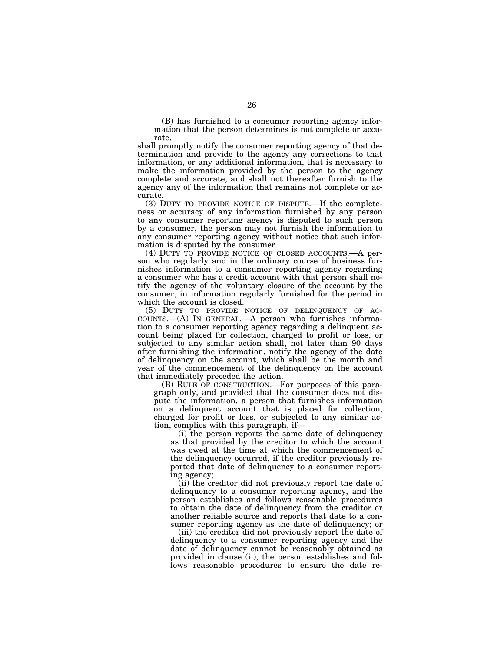(B) has furnished to a consumer reporting agency information that the person determines is not complete or accurate,

shall promptly notify the consumer reporting agency of that determination and provide to the agency any corrections to that information, or any additional information, that is necessary to make the information provided by the person to the agency complete and accurate, and shall not thereafter furnish to the agency any of the information that remains not complete or accurate.

(3) DUTY TO PROVIDE NOTICE OF DISPUTE.—If the completeness or accuracy of any information furnished by any person to any consumer reporting agency is disputed to such person by a consumer, the person may not furnish the information to any consumer reporting agency without notice that such information is disputed by the consumer.

(4) DUTY TO PROVIDE NOTICE OF CLOSED ACCOUNTS.—A person who regularly and in the ordinary course of business furnishes information to a consumer reporting agency regarding a consumer who has a credit account with that person shall notify the agency of the voluntary closure of the account by the consumer, in information regularly furnished for the period in which the account is closed.

(5) DUTY TO PROVIDE NOTICE OF DELINQUENCY OF AC- COUNTS.—(A) IN GENERAL.—A person who furnishes information to a consumer reporting agency regarding a delinquent account being placed for collection, charged to profit or loss, or subjected to any similar action shall, not later than 90 days after furnishing the information, notify the agency of the date of delinquency on the account, which shall be the month and year of the commencement of the delinquency on the account that immediately preceded the action.

(B) RULE OF CONSTRUCTION.—For purposes of this paragraph only, and provided that the consumer does not dispute the information, a person that furnishes information on a delinquent account that is placed for collection, charged for profit or loss, or subjected to any similar action, complies with this paragraph, if—

(i) the person reports the same date of delinquency as that provided by the creditor to which the account was owed at the time at which the commencement of the delinquency occurred, if the creditor previously reported that date of delinquency to a consumer reporting agency;

(ii) the creditor did not previously report the date of delinquency to a consumer reporting agency, and the person establishes and follows reasonable procedures to obtain the date of delinquency from the creditor or another reliable source and reports that date to a consumer reporting agency as the date of delinquency; or

(iii) the creditor did not previously report the date of delinquency to a consumer reporting agency and the date of delinquency cannot be reasonably obtained as provided in clause (ii), the person establishes and follows reasonable procedures to ensure the date re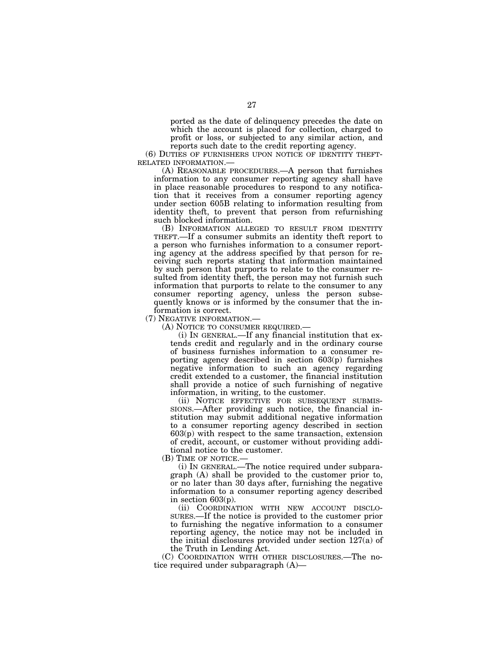ported as the date of delinquency precedes the date on which the account is placed for collection, charged to profit or loss, or subjected to any similar action, and reports such date to the credit reporting agency.

(6) DUTIES OF FURNISHERS UPON NOTICE OF IDENTITY THEFT- RELATED INFORMATION.— (A) REASONABLE PROCEDURES.—A person that furnishes

information to any consumer reporting agency shall have in place reasonable procedures to respond to any notification that it receives from a consumer reporting agency under section 605B relating to information resulting from identity theft, to prevent that person from refurnishing such blocked information.

(B) INFORMATION ALLEGED TO RESULT FROM IDENTITY THEFT.—If a consumer submits an identity theft report to a person who furnishes information to a consumer reporting agency at the address specified by that person for receiving such reports stating that information maintained by such person that purports to relate to the consumer resulted from identity theft, the person may not furnish such information that purports to relate to the consumer to any consumer reporting agency, unless the person subsequently knows or is informed by the consumer that the information is correct.

(7) NEGATIVE INFORMATION.—<br>
(A) NOTICE TO CONSUMER REQUIRED.—<br>
(i) IN GENERAL.—If any financial institution that extends credit and regularly and in the ordinary course of business furnishes information to a consumer reporting agency described in section 603(p) furnishes negative information to such an agency regarding credit extended to a customer, the financial institution shall provide a notice of such furnishing of negative information, in writing, to the customer.<br>(ii) NOTICE EFFECTIVE FOR SUBSEQUENT SUBMIS-

sions.—After providing such notice, the financial institution may submit additional negative information to a consumer reporting agency described in section 603(p) with respect to the same transaction, extension of credit, account, or customer without providing additional notice to the customer.

(B) TIME OF NOTICE.—

(i) IN GENERAL.—The notice required under subparagraph (A) shall be provided to the customer prior to, or no later than 30 days after, furnishing the negative information to a consumer reporting agency described in section 603(p).

(ii) COORDINATION WITH NEW ACCOUNT DISCLO-SURES.—If the notice is provided to the customer prior to furnishing the negative information to a consumer reporting agency, the notice may not be included in the initial disclosures provided under section 127(a) of the Truth in Lending Act.

(C) COORDINATION WITH OTHER DISCLOSURES.—The notice required under subparagraph (A)—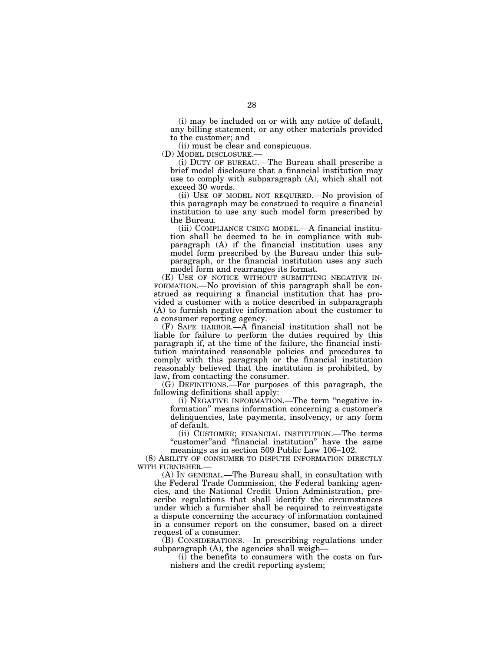(i) may be included on or with any notice of default, any billing statement, or any other materials provided to the customer; and

(ii) must be clear and conspicuous.<br>(D) MODEL DISCLOSURE.—

(i) DUTY OF BUREAU.—The Bureau shall prescribe a brief model disclosure that a financial institution may use to comply with subparagraph (A), which shall not exceed 30 words.

(ii) USE OF MODEL NOT REQUIRED.—No provision of this paragraph may be construed to require a financial institution to use any such model form prescribed by the Bureau.

(iii) COMPLIANCE USING MODEL.—A financial institution shall be deemed to be in compliance with subparagraph (A) if the financial institution uses any model form prescribed by the Bureau under this subparagraph, or the financial institution uses any such model form and rearranges its format.<br>(E) USE OF NOTICE WITHOUT SUBMITTING NEGATIVE IN-

FORMATION.—No provision of this paragraph shall be construed as requiring a financial institution that has provided a customer with a notice described in subparagraph (A) to furnish negative information about the customer to a consumer reporting agency.

(F) SAFE HARBOR.—A financial institution shall not be liable for failure to perform the duties required by this paragraph if, at the time of the failure, the financial institution maintained reasonable policies and procedures to comply with this paragraph or the financial institution reasonably believed that the institution is prohibited, by law, from contacting the consumer.

(G) DEFINITIONS.—For purposes of this paragraph, the following definitions shall apply:

(i) NEGATIVE INFORMATION.—The term ''negative information'' means information concerning a customer's delinquencies, late payments, insolvency, or any form of default.

(ii) CUSTOMER; FINANCIAL INSTITUTION.—The terms "customer" and "financial institution" have the same

meanings as in section 509 Public Law 106–102. (8) ABILITY OF CONSUMER TO DISPUTE INFORMATION DIRECTLY WITH FURNISHER.—

(A) IN GENERAL.—The Bureau shall, in consultation with the Federal Trade Commission, the Federal banking agencies, and the National Credit Union Administration, prescribe regulations that shall identify the circumstances under which a furnisher shall be required to reinvestigate a dispute concerning the accuracy of information contained in a consumer report on the consumer, based on a direct request of a consumer.

(B) CONSIDERATIONS.—In prescribing regulations under subparagraph (A), the agencies shall weigh—

(i) the benefits to consumers with the costs on furnishers and the credit reporting system;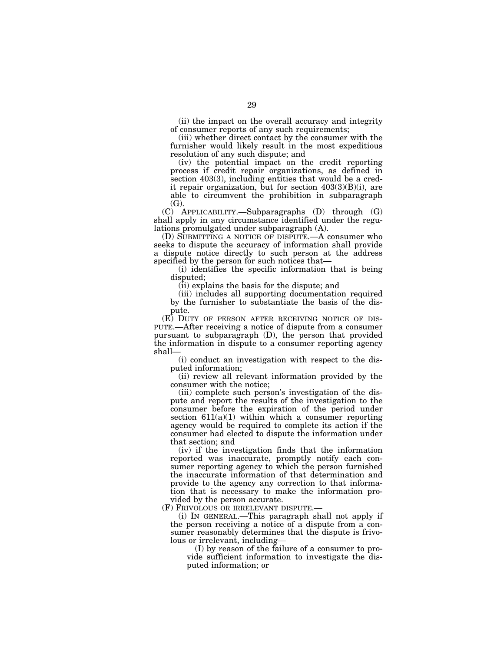(ii) the impact on the overall accuracy and integrity of consumer reports of any such requirements;

(iii) whether direct contact by the consumer with the furnisher would likely result in the most expeditious resolution of any such dispute; and

(iv) the potential impact on the credit reporting process if credit repair organizations, as defined in section 403(3), including entities that would be a credit repair organization, but for section  $403(3)(B)(i)$ , are able to circumvent the prohibition in subparagraph (G).

(C) APPLICABILITY.—Subparagraphs (D) through (G) shall apply in any circumstance identified under the regulations promulgated under subparagraph (A).

(D) SUBMITTING A NOTICE OF DISPUTE.—A consumer who seeks to dispute the accuracy of information shall provide a dispute notice directly to such person at the address specified by the person for such notices that—

(i) identifies the specific information that is being disputed;

(ii) explains the basis for the dispute; and

(iii) includes all supporting documentation required by the furnisher to substantiate the basis of the dispute.

 $(E)$  DUTY OF PERSON AFTER RECEIVING NOTICE OF DIS- PUTE.—After receiving a notice of dispute from a consumer pursuant to subparagraph (D), the person that provided the information in dispute to a consumer reporting agency shall—

(i) conduct an investigation with respect to the disputed information;

(ii) review all relevant information provided by the consumer with the notice;

(iii) complete such person's investigation of the dispute and report the results of the investigation to the consumer before the expiration of the period under section  $611(a)(1)$  within which a consumer reporting agency would be required to complete its action if the consumer had elected to dispute the information under that section; and

(iv) if the investigation finds that the information reported was inaccurate, promptly notify each consumer reporting agency to which the person furnished the inaccurate information of that determination and provide to the agency any correction to that information that is necessary to make the information provided by the person accurate.

(F) FRIVOLOUS OR IRRELEVANT DISPUTE.—

(i) IN GENERAL.—This paragraph shall not apply if the person receiving a notice of a dispute from a consumer reasonably determines that the dispute is frivolous or irrelevant, including—

(I) by reason of the failure of a consumer to provide sufficient information to investigate the disputed information; or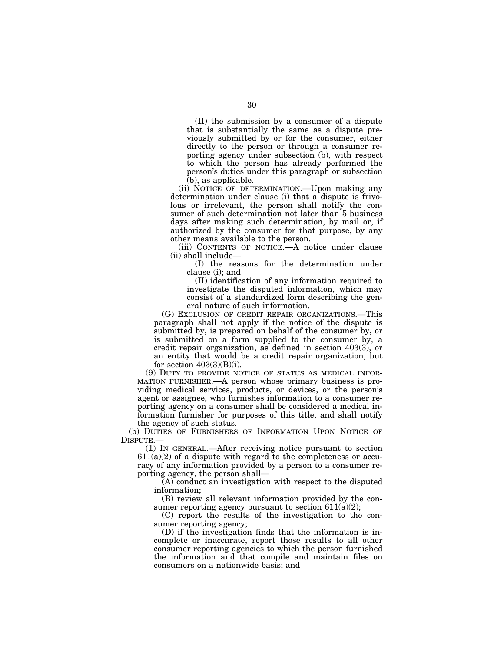(II) the submission by a consumer of a dispute that is substantially the same as a dispute previously submitted by or for the consumer, either directly to the person or through a consumer reporting agency under subsection (b), with respect to which the person has already performed the person's duties under this paragraph or subsection (b), as applicable.

(ii) NOTICE OF DETERMINATION.—Upon making any determination under clause (i) that a dispute is frivolous or irrelevant, the person shall notify the consumer of such determination not later than 5 business days after making such determination, by mail or, if authorized by the consumer for that purpose, by any other means available to the person.

(iii) CONTENTS OF NOTICE.—A notice under clause (ii) shall include—

(I) the reasons for the determination under clause (i); and

(II) identification of any information required to investigate the disputed information, which may consist of a standardized form describing the general nature of such information.

(G) EXCLUSION OF CREDIT REPAIR ORGANIZATIONS.—This paragraph shall not apply if the notice of the dispute is submitted by, is prepared on behalf of the consumer by, or is submitted on a form supplied to the consumer by, a credit repair organization, as defined in section 403(3), or an entity that would be a credit repair organization, but for section  $403(3)(B)(i)$ .

(9) DUTY TO PROVIDE NOTICE OF STATUS AS MEDICAL INFOR-MATION FURNISHER.—A person whose primary business is providing medical services, products, or devices, or the person's agent or assignee, who furnishes information to a consumer reporting agency on a consumer shall be considered a medical information furnisher for purposes of this title, and shall notify the agency of such status.

(b) DUTIES OF FURNISHERS OF INFORMATION UPON NOTICE OF DISPUTE.—

(1) IN GENERAL.—After receiving notice pursuant to section  $611(a)(2)$  of a dispute with regard to the completeness or accuracy of any information provided by a person to a consumer reporting agency, the person shall—

(A) conduct an investigation with respect to the disputed information;

(B) review all relevant information provided by the consumer reporting agency pursuant to section  $611(a)(2)$ ;

(C) report the results of the investigation to the consumer reporting agency;

(D) if the investigation finds that the information is incomplete or inaccurate, report those results to all other consumer reporting agencies to which the person furnished the information and that compile and maintain files on consumers on a nationwide basis; and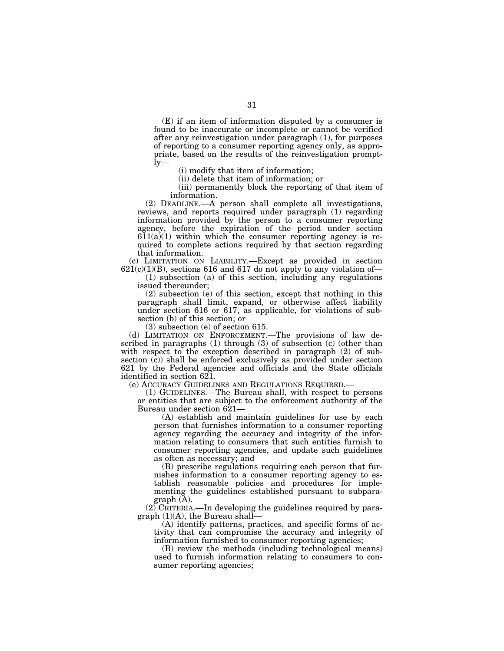(E) if an item of information disputed by a consumer is found to be inaccurate or incomplete or cannot be verified after any reinvestigation under paragraph (1), for purposes of reporting to a consumer reporting agency only, as appropriate, based on the results of the reinvestigation prompt- $\bar{1}$ y—

(i) modify that item of information;

(ii) delete that item of information; or

(iii) permanently block the reporting of that item of information.

(2) DEADLINE.—A person shall complete all investigations, reviews, and reports required under paragraph (1) regarding information provided by the person to a consumer reporting agency, before the expiration of the period under section  $611(a)(1)$  within which the consumer reporting agency is required to complete actions required by that section regarding that information.

(c) LIMITATION ON LIABILITY.—Except as provided in section  $621(c)(1)(B)$ , sections 616 and 617 do not apply to any violation of-

(1) subsection (a) of this section, including any regulations issued thereunder;

(2) subsection (e) of this section, except that nothing in this paragraph shall limit, expand, or otherwise affect liability under section 616 or 617, as applicable, for violations of subsection (b) of this section; or

(3) subsection (e) of section 615.

(d) LIMITATION ON ENFORCEMENT.—The provisions of law described in paragraphs (1) through (3) of subsection (c) (other than with respect to the exception described in paragraph (2) of subsection (c)) shall be enforced exclusively as provided under section 621 by the Federal agencies and officials and the State officials identified in section 621.<br>(e) ACCURACY GUIDELINES AND REGULATIONS REQUIRED.—

(1) GUIDELINES.—The Bureau shall, with respect to persons or entities that are subject to the enforcement authority of the Bureau under section 621—

(A) establish and maintain guidelines for use by each person that furnishes information to a consumer reporting agency regarding the accuracy and integrity of the information relating to consumers that such entities furnish to consumer reporting agencies, and update such guidelines as often as necessary; and

(B) prescribe regulations requiring each person that furnishes information to a consumer reporting agency to establish reasonable policies and procedures for implementing the guidelines established pursuant to subparagraph (A).

(2) CRITERIA.—In developing the guidelines required by paragraph (1)(A), the Bureau shall—

(A) identify patterns, practices, and specific forms of activity that can compromise the accuracy and integrity of information furnished to consumer reporting agencies;

(B) review the methods (including technological means) used to furnish information relating to consumers to consumer reporting agencies;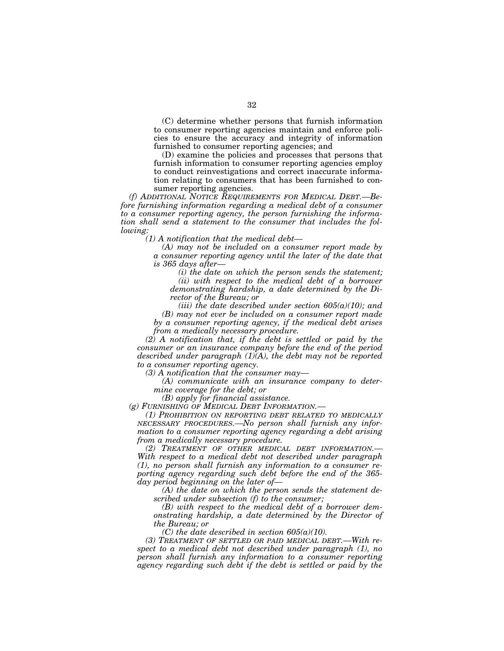(C) determine whether persons that furnish information to consumer reporting agencies maintain and enforce policies to ensure the accuracy and integrity of information furnished to consumer reporting agencies; and

(D) examine the policies and processes that persons that furnish information to consumer reporting agencies employ to conduct reinvestigations and correct inaccurate information relating to consumers that has been furnished to consumer reporting agencies.

*(f) ADDITIONAL NOTICE REQUIREMENTS FOR MEDICAL DEBT.—Before furnishing information regarding a medical debt of a consumer to a consumer reporting agency, the person furnishing the information shall send a statement to the consumer that includes the following:* 

*(1) A notification that the medical debt—* 

*(A) may not be included on a consumer report made by a consumer reporting agency until the later of the date that is 365 days after—* 

*(i) the date on which the person sends the statement; (ii) with respect to the medical debt of a borrower demonstrating hardship, a date determined by the Director of the Bureau; or* 

*(iii) the date described under section 605(a)(10); and (B) may not ever be included on a consumer report made by a consumer reporting agency, if the medical debt arises from a medically necessary procedure.* 

*(2) A notification that, if the debt is settled or paid by the consumer or an insurance company before the end of the period described under paragraph (1)(A), the debt may not be reported to a consumer reporting agency.* 

*(3) A notification that the consumer may—* 

*(A) communicate with an insurance company to determine coverage for the debt; or* 

*(B) apply for financial assistance.* 

*(g) FURNISHING OF MEDICAL DEBT INFORMATION.—* 

*(1) PROHIBITION ON REPORTING DEBT RELATED TO MEDICALLY NECESSARY PROCEDURES.—No person shall furnish any information to a consumer reporting agency regarding a debt arising from a medically necessary procedure.* 

*(2) TREATMENT OF OTHER MEDICAL DEBT INFORMATION.— With respect to a medical debt not described under paragraph (1), no person shall furnish any information to a consumer reporting agency regarding such debt before the end of the 365 day period beginning on the later of—* 

*(A) the date on which the person sends the statement described under subsection (f) to the consumer;* 

*(B) with respect to the medical debt of a borrower demonstrating hardship, a date determined by the Director of the Bureau; or* 

*(C) the date described in section 605(a)(10).* 

*(3) TREATMENT OF SETTLED OR PAID MEDICAL DEBT.—With respect to a medical debt not described under paragraph (1), no person shall furnish any information to a consumer reporting*  agency regarding such debt if the debt is settled or paid by the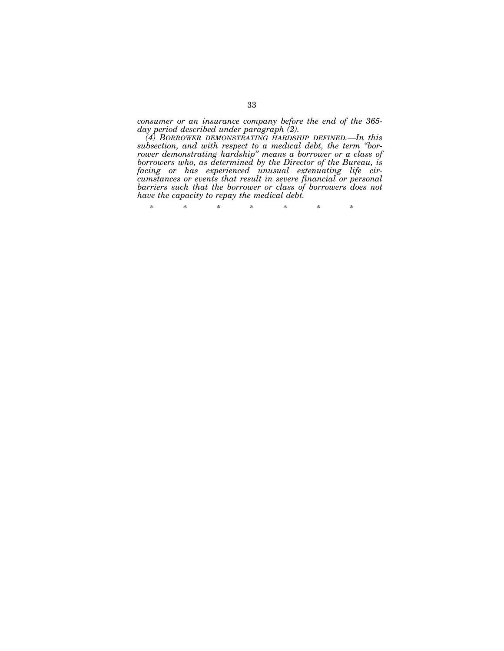*consumer or an insurance company before the end of the 365 day period described under paragraph (2).* 

*(4) BORROWER DEMONSTRATING HARDSHIP DEFINED.—In this subsection, and with respect to a medical debt, the term ''borrower demonstrating hardship'' means a borrower or a class of borrowers who, as determined by the Director of the Bureau, is facing or has experienced unusual extenuating life circumstances or events that result in severe financial or personal barriers such that the borrower or class of borrowers does not have the capacity to repay the medical debt.* 

\* \* \* \* \* \* \*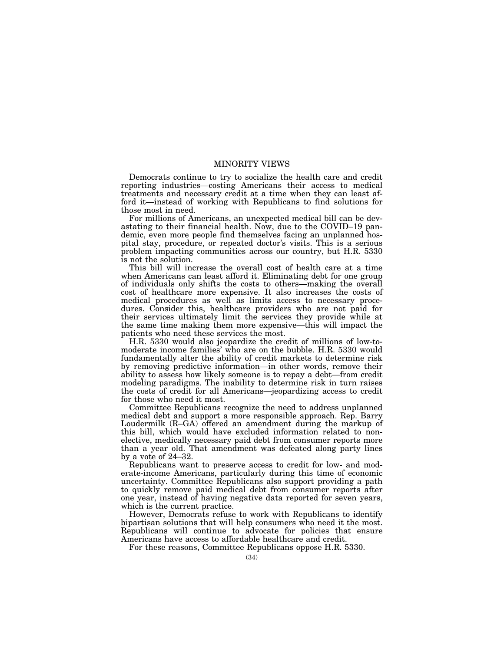# MINORITY VIEWS

Democrats continue to try to socialize the health care and credit reporting industries—costing Americans their access to medical treatments and necessary credit at a time when they can least afford it—instead of working with Republicans to find solutions for those most in need.

For millions of Americans, an unexpected medical bill can be devastating to their financial health. Now, due to the COVID–19 pandemic, even more people find themselves facing an unplanned hospital stay, procedure, or repeated doctor's visits. This is a serious problem impacting communities across our country, but H.R. 5330 is not the solution.

This bill will increase the overall cost of health care at a time when Americans can least afford it. Eliminating debt for one group of individuals only shifts the costs to others—making the overall cost of healthcare more expensive. It also increases the costs of medical procedures as well as limits access to necessary procedures. Consider this, healthcare providers who are not paid for their services ultimately limit the services they provide while at the same time making them more expensive—this will impact the patients who need these services the most.

H.R. 5330 would also jeopardize the credit of millions of low-tomoderate income families' who are on the bubble. H.R. 5330 would fundamentally alter the ability of credit markets to determine risk by removing predictive information—in other words, remove their ability to assess how likely someone is to repay a debt—from credit modeling paradigms. The inability to determine risk in turn raises the costs of credit for all Americans—jeopardizing access to credit for those who need it most.

Committee Republicans recognize the need to address unplanned medical debt and support a more responsible approach. Rep. Barry Loudermilk (R–GA) offered an amendment during the markup of this bill, which would have excluded information related to nonelective, medically necessary paid debt from consumer reports more than a year old. That amendment was defeated along party lines by a vote of 24–32.

Republicans want to preserve access to credit for low- and moderate-income Americans, particularly during this time of economic uncertainty. Committee Republicans also support providing a path to quickly remove paid medical debt from consumer reports after one year, instead of having negative data reported for seven years, which is the current practice.

However, Democrats refuse to work with Republicans to identify bipartisan solutions that will help consumers who need it the most. Republicans will continue to advocate for policies that ensure Americans have access to affordable healthcare and credit.

For these reasons, Committee Republicans oppose H.R. 5330.